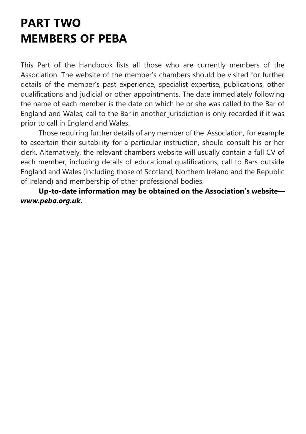# PART TWO MEMBERS OF PEBA

This Part of the Handbook lists all those who are currently members of the Association. The website of the member's chambers should be visited for further details of the member's past experience, specialist expertise, publications, other qualifications and judicial or other appointments. The date immediately following the name of each member is the date on which he or she was called to the Bar of England and Wales; call to the Bar in another jurisdiction is only recorded if it was prior to call in England and Wales.

Those requiring further details of any member of the Association, for example to ascertain their suitability for a particular instruction, should consult his or her clerk. Alternatively, the relevant chambers website will usually contain a full CV of each member, including details of educational qualifications, call to Bars outside England and Wales (including those of Scotland, Northern Ireland and the Republic of Ireland) and membership of other professional bodies.

Up-to-date information may be obtained on the Association's website www.peba.org.uk.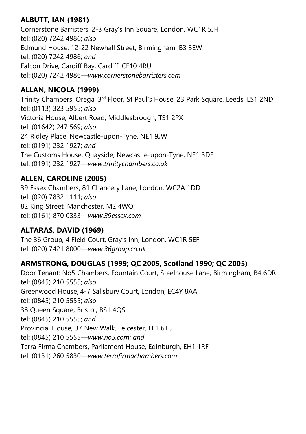# ALBUTT, IAN (1981)

Cornerstone Barristers, 2-3 Gray's Inn Square, London, WC1R 5JH tel: (020) 7242 4986; also Edmund House, 12-22 Newhall Street, Birmingham, B3 3EW tel: (020) 7242 4986; and Falcon Drive, Cardiff Bay, Cardiff, CF10 4RU tel: (020) 7242 4986—www.cornerstonebarristers.com

# ALLAN, NICOLA (1999)

Trinity Chambers, Orega, 3rd Floor, St Paul's House, 23 Park Square, Leeds, LS1 2ND tel: (0113) 323 5955; also Victoria House, Albert Road, Middlesbrough, TS1 2PX tel: (01642) 247 569; also 24 Ridley Place, Newcastle-upon-Tyne, NE1 9JW tel: (0191) 232 1927; and The Customs House, Quayside, Newcastle-upon-Tyne, NE1 3DE tel: (0191) 232 1927—www.trinitychambers.co.uk

# ALLEN, CAROLINE (2005)

39 Essex Chambers, 81 Chancery Lane, London, WC2A 1DD tel: (020) 7832 1111; also 82 King Street, Manchester, M2 4WQ tel: (0161) 870 0333—www.39essex.com

# ALTARAS, DAVID (1969)

The 36 Group, 4 Field Court, Gray's Inn, London, WC1R 5EF tel: (020) 7421 8000—www.36group.co.uk

# ARMSTRONG, DOUGLAS (1999; QC 2005, Scotland 1990; QC 2005)

Door Tenant: No5 Chambers, Fountain Court, Steelhouse Lane, Birmingham, B4 6DR tel: (0845) 210 5555; also Greenwood House, 4-7 Salisbury Court, London, EC4Y 8AA tel: (0845) 210 5555; also 38 Queen Square, Bristol, BS1 4QS tel: (0845) 210 5555; and Provincial House, 37 New Walk, Leicester, LE1 6TU tel: (0845) 210 5555—www.no5.com; and Terra Firma Chambers, Parliament House, Edinburgh, EH1 1RF tel: (0131) 260 5830—www.terrafirmachambers.com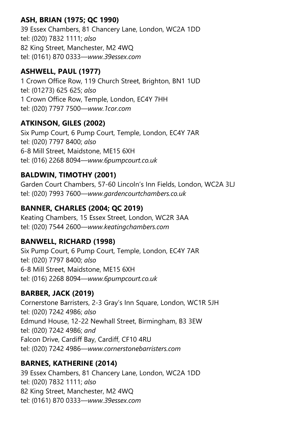# ASH, BRIAN (1975; QC 1990)

39 Essex Chambers, 81 Chancery Lane, London, WC2A 1DD tel: (020) 7832 1111; also 82 King Street, Manchester, M2 4WQ tel: (0161) 870 0333—www.39essex.com

# ASHWELL, PAUL (1977)

1 Crown Office Row, 119 Church Street, Brighton, BN1 1UD tel: (01273) 625 625; also 1 Crown Office Row, Temple, London, EC4Y 7HH tel: (020) 7797 7500—www.1cor.com

# ATKINSON, GILES (2002)

Six Pump Court, 6 Pump Court, Temple, London, EC4Y 7AR tel: (020) 7797 8400; also 6-8 Mill Street, Maidstone, ME15 6XH tel: (016) 2268 8094—www.6pumpcourt.co.uk

# BALDWIN, TIMOTHY (2001)

Garden Court Chambers, 57-60 Lincoln's Inn Fields, London, WC2A 3LJ tel: (020) 7993 7600—www.gardencourtchambers.co.uk

# BANNER, CHARLES (2004; QC 2019)

Keating Chambers, 15 Essex Street, London, WC2R 3AA tel: (020) 7544 2600—www.keatingchambers.com

# BANWELL, RICHARD (1998)

Six Pump Court, 6 Pump Court, Temple, London, EC4Y 7AR tel: (020) 7797 8400; also 6-8 Mill Street, Maidstone, ME15 6XH tel: (016) 2268 8094—www.6pumpcourt.co.uk

# BARBER, JACK (2019)

Cornerstone Barristers, 2-3 Gray's Inn Square, London, WC1R 5JH tel: (020) 7242 4986; also Edmund House, 12-22 Newhall Street, Birmingham, B3 3EW tel: (020) 7242 4986; and Falcon Drive, Cardiff Bay, Cardiff, CF10 4RU tel: (020) 7242 4986—www.cornerstonebarristers.com

# BARNES, KATHERINE (2014)

39 Essex Chambers, 81 Chancery Lane, London, WC2A 1DD tel: (020) 7832 1111; also 82 King Street, Manchester, M2 4WQ tel: (0161) 870 0333—www.39essex.com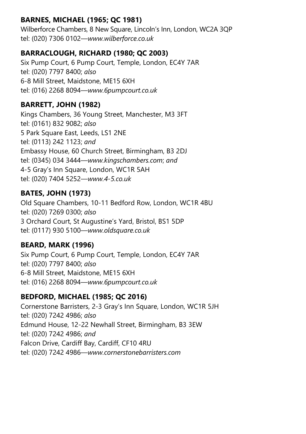# BARNES, MICHAEL (1965; QC 1981)

Wilberforce Chambers, 8 New Square, Lincoln's Inn, London, WC2A 3QP tel: (020) 7306 0102—www.wilberforce.co.uk

# BARRACLOUGH, RICHARD (1980; QC 2003)

Six Pump Court, 6 Pump Court, Temple, London, EC4Y 7AR tel: (020) 7797 8400; also 6-8 Mill Street, Maidstone, ME15 6XH tel: (016) 2268 8094—www.6pumpcourt.co.uk

# BARRETT, JOHN (1982)

Kings Chambers, 36 Young Street, Manchester, M3 3FT tel: (0161) 832 9082; also 5 Park Square East, Leeds, LS1 2NE tel: (0113) 242 1123; and Embassy House, 60 Church Street, Birmingham, B3 2DJ tel: (0345) 034 3444—www.kingschambers.com; and 4-5 Gray's Inn Square, London, WC1R 5AH tel: (020) 7404 5252—www.4-5.co.uk

# BATES, JOHN (1973)

Old Square Chambers, 10-11 Bedford Row, London, WC1R 4BU tel: (020) 7269 0300; also 3 Orchard Court, St Augustine's Yard, Bristol, BS1 5DP tel: (0117) 930 5100—www.oldsquare.co.uk

# BEARD, MARK (1996)

Six Pump Court, 6 Pump Court, Temple, London, EC4Y 7AR tel: (020) 7797 8400; also 6-8 Mill Street, Maidstone, ME15 6XH tel: (016) 2268 8094—www.6pumpcourt.co.uk

# BEDFORD, MICHAEL (1985; QC 2016)

Cornerstone Barristers, 2-3 Gray's Inn Square, London, WC1R 5JH tel: (020) 7242 4986; also Edmund House, 12-22 Newhall Street, Birmingham, B3 3EW tel: (020) 7242 4986; and Falcon Drive, Cardiff Bay, Cardiff, CF10 4RU tel: (020) 7242 4986—www.cornerstonebarristers.com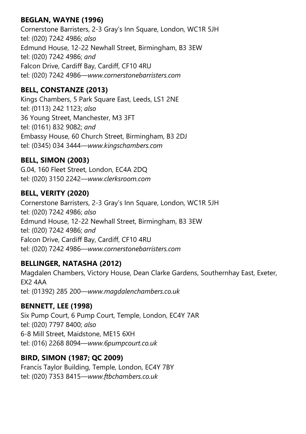# BEGLAN, WAYNE (1996)

Cornerstone Barristers, 2-3 Gray's Inn Square, London, WC1R 5JH tel: (020) 7242 4986; also Edmund House, 12-22 Newhall Street, Birmingham, B3 3EW tel: (020) 7242 4986; and Falcon Drive, Cardiff Bay, Cardiff, CF10 4RU tel: (020) 7242 4986—www.cornerstonebarristers.com

#### BELL, CONSTANZE (2013)

Kings Chambers, 5 Park Square East, Leeds, LS1 2NE tel: (0113) 242 1123; also 36 Young Street, Manchester, M3 3FT tel: (0161) 832 9082; and Embassy House, 60 Church Street, Birmingham, B3 2DJ tel: (0345) 034 3444—www.kingschambers.com

# BELL, SIMON (2003)

G.04, 160 Fleet Street, London, EC4A 2DQ tel: (020) 3150 2242—www.clerksroom.com

# BELL, VERITY (2020)

Cornerstone Barristers, 2-3 Gray's Inn Square, London, WC1R 5JH tel: (020) 7242 4986; also Edmund House, 12-22 Newhall Street, Birmingham, B3 3EW tel: (020) 7242 4986; and Falcon Drive, Cardiff Bay, Cardiff, CF10 4RU tel: (020) 7242 4986—www.cornerstonebarristers.com

#### BELLINGER, NATASHA (2012)

Magdalen Chambers, Victory House, Dean Clarke Gardens, Southernhay East, Exeter, EX2 4AA tel: (01392) 285 200—www.magdalenchambers.co.uk

#### BENNETT, LEE (1998)

Six Pump Court, 6 Pump Court, Temple, London, EC4Y 7AR tel: (020) 7797 8400; also 6-8 Mill Street, Maidstone, ME15 6XH tel: (016) 2268 8094—www.6pumpcourt.co.uk

# BIRD, SIMON (1987; QC 2009)

Francis Taylor Building, Temple, London, EC4Y 7BY tel: (020) 7353 8415—www.ftbchambers.co.uk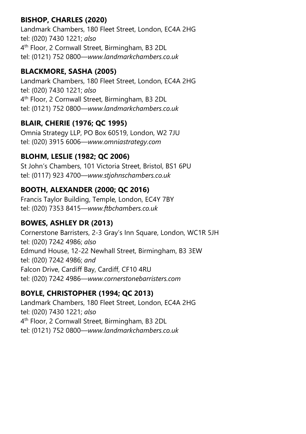# BISHOP, CHARLES (2020)

Landmark Chambers, 180 Fleet Street, London, EC4A 2HG tel: (020) 7430 1221; also 4 th Floor, 2 Cornwall Street, Birmingham, B3 2DL tel: (0121) 752 0800—www.landmarkchambers.co.uk

#### BLACKMORE, SASHA (2005)

Landmark Chambers, 180 Fleet Street, London, EC4A 2HG tel: (020) 7430 1221; also 4 th Floor, 2 Cornwall Street, Birmingham, B3 2DL tel: (0121) 752 0800—www.landmarkchambers.co.uk

# BLAIR, CHERIE (1976; QC 1995)

Omnia Strategy LLP, PO Box 60519, London, W2 7JU tel: (020) 3915 6006—www.omniastrategy.com

# BLOHM, LESLIE (1982; QC 2006)

St John's Chambers, 101 Victoria Street, Bristol, BS1 6PU tel: (0117) 923 4700—www.stjohnschambers.co.uk

#### BOOTH, ALEXANDER (2000; QC 2016)

Francis Taylor Building, Temple, London, EC4Y 7BY tel: (020) 7353 8415—www.ftbchambers.co.uk

#### BOWES, ASHLEY DR (2013)

Cornerstone Barristers, 2-3 Gray's Inn Square, London, WC1R 5JH tel: (020) 7242 4986; also Edmund House, 12-22 Newhall Street, Birmingham, B3 3EW tel: (020) 7242 4986; and Falcon Drive, Cardiff Bay, Cardiff, CF10 4RU tel: (020) 7242 4986—www.cornerstonebarristers.com

#### BOYLE, CHRISTOPHER (1994; QC 2013)

Landmark Chambers, 180 Fleet Street, London, EC4A 2HG tel: (020) 7430 1221; also 4 th Floor, 2 Cornwall Street, Birmingham, B3 2DL tel: (0121) 752 0800—www.landmarkchambers.co.uk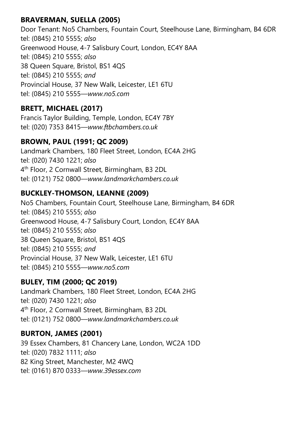# BRAVERMAN, SUELLA (2005)

Door Tenant: No5 Chambers, Fountain Court, Steelhouse Lane, Birmingham, B4 6DR tel: (0845) 210 5555; also Greenwood House, 4-7 Salisbury Court, London, EC4Y 8AA tel: (0845) 210 5555; also 38 Queen Square, Bristol, BS1 4QS tel: (0845) 210 5555; and Provincial House, 37 New Walk, Leicester, LE1 6TU tel: (0845) 210 5555—www.no5.com

# BRETT, MICHAEL (2017)

Francis Taylor Building, Temple, London, EC4Y 7BY tel: (020) 7353 8415—www.ftbchambers.co.uk

# BROWN, PAUL (1991; QC 2009)

Landmark Chambers, 180 Fleet Street, London, EC4A 2HG tel: (020) 7430 1221; also 4 th Floor, 2 Cornwall Street, Birmingham, B3 2DL tel: (0121) 752 0800—www.landmarkchambers.co.uk

# BUCKLEY-THOMSON, LEANNE (2009)

No5 Chambers, Fountain Court, Steelhouse Lane, Birmingham, B4 6DR tel: (0845) 210 5555; also Greenwood House, 4-7 Salisbury Court, London, EC4Y 8AA tel: (0845) 210 5555; also 38 Queen Square, Bristol, BS1 4QS tel: (0845) 210 5555; and Provincial House, 37 New Walk, Leicester, LE1 6TU tel: (0845) 210 5555—www.no5.com

# BULEY, TIM (2000; QC 2019)

Landmark Chambers, 180 Fleet Street, London, EC4A 2HG tel: (020) 7430 1221; also 4 th Floor, 2 Cornwall Street, Birmingham, B3 2DL tel: (0121) 752 0800—www.landmarkchambers.co.uk

#### BURTON, JAMES (2001)

39 Essex Chambers, 81 Chancery Lane, London, WC2A 1DD tel: (020) 7832 1111; also 82 King Street, Manchester, M2 4WQ tel: (0161) 870 0333—www.39essex.com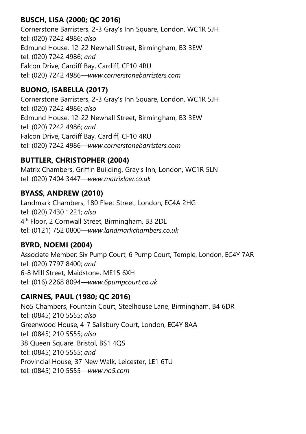# BUSCH, LISA (2000; QC 2016)

Cornerstone Barristers, 2-3 Gray's Inn Square, London, WC1R 5JH tel: (020) 7242 4986; also Edmund House, 12-22 Newhall Street, Birmingham, B3 3EW tel: (020) 7242 4986; and Falcon Drive, Cardiff Bay, Cardiff, CF10 4RU tel: (020) 7242 4986—www.cornerstonebarristers.com

# BUONO, ISABELLA (2017)

Cornerstone Barristers, 2-3 Gray's Inn Square, London, WC1R 5JH tel: (020) 7242 4986; also Edmund House, 12-22 Newhall Street, Birmingham, B3 3EW tel: (020) 7242 4986; and Falcon Drive, Cardiff Bay, Cardiff, CF10 4RU tel: (020) 7242 4986—www.cornerstonebarristers.com

# BUTTLER, CHRISTOPHER (2004)

Matrix Chambers, Griffin Building, Gray's Inn, London, WC1R 5LN tel: (020) 7404 3447—www.matrixlaw.co.uk

# BYASS, ANDREW (2010)

Landmark Chambers, 180 Fleet Street, London, EC4A 2HG tel: (020) 7430 1221; also 4 th Floor, 2 Cornwall Street, Birmingham, B3 2DL tel: (0121) 752 0800—www.landmarkchambers.co.uk

# BYRD, NOEMI (2004)

Associate Member: Six Pump Court, 6 Pump Court, Temple, London, EC4Y 7AR tel: (020) 7797 8400; and 6-8 Mill Street, Maidstone, ME15 6XH tel: (016) 2268 8094—www.6pumpcourt.co.uk

# CAIRNES, PAUL (1980; QC 2016)

No5 Chambers, Fountain Court, Steelhouse Lane, Birmingham, B4 6DR tel: (0845) 210 5555; also Greenwood House, 4-7 Salisbury Court, London, EC4Y 8AA tel: (0845) 210 5555; also 38 Queen Square, Bristol, BS1 4QS tel: (0845) 210 5555; and Provincial House, 37 New Walk, Leicester, LE1 6TU tel: (0845) 210 5555—www.no5.com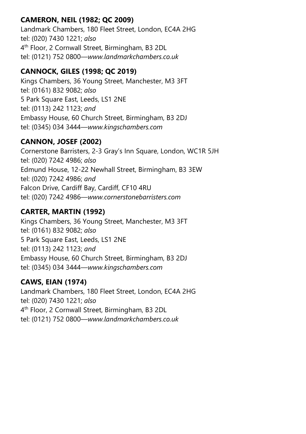# CAMERON, NEIL (1982; QC 2009)

Landmark Chambers, 180 Fleet Street, London, EC4A 2HG tel: (020) 7430 1221; also 4 th Floor, 2 Cornwall Street, Birmingham, B3 2DL tel: (0121) 752 0800—www.landmarkchambers.co.uk

# CANNOCK, GILES (1998; QC 2019)

Kings Chambers, 36 Young Street, Manchester, M3 3FT tel: (0161) 832 9082; also 5 Park Square East, Leeds, LS1 2NE tel: (0113) 242 1123; and Embassy House, 60 Church Street, Birmingham, B3 2DJ tel: (0345) 034 3444—www.kingschambers.com

# CANNON, JOSEF (2002)

Cornerstone Barristers, 2-3 Gray's Inn Square, London, WC1R 5JH tel: (020) 7242 4986; also Edmund House, 12-22 Newhall Street, Birmingham, B3 3EW tel: (020) 7242 4986; and Falcon Drive, Cardiff Bay, Cardiff, CF10 4RU tel: (020) 7242 4986—www.cornerstonebarristers.com

# CARTER, MARTIN (1992)

Kings Chambers, 36 Young Street, Manchester, M3 3FT tel: (0161) 832 9082; also 5 Park Square East, Leeds, LS1 2NE tel: (0113) 242 1123; and Embassy House, 60 Church Street, Birmingham, B3 2DJ tel: (0345) 034 3444—www.kingschambers.com

# CAWS, EIAN (1974)

Landmark Chambers, 180 Fleet Street, London, EC4A 2HG tel: (020) 7430 1221; also 4 th Floor, 2 Cornwall Street, Birmingham, B3 2DL tel: (0121) 752 0800—www.landmarkchambers.co.uk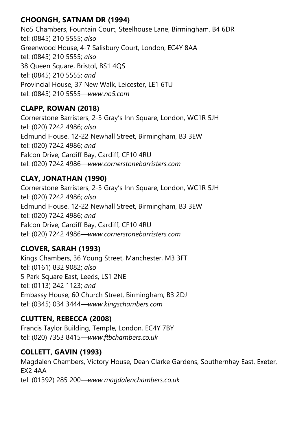# CHOONGH, SATNAM DR (1994)

No5 Chambers, Fountain Court, Steelhouse Lane, Birmingham, B4 6DR tel: (0845) 210 5555; also Greenwood House, 4-7 Salisbury Court, London, EC4Y 8AA tel: (0845) 210 5555; also 38 Queen Square, Bristol, BS1 4QS tel: (0845) 210 5555; and Provincial House, 37 New Walk, Leicester, LE1 6TU tel: (0845) 210 5555—www.no5.com

# CLAPP, ROWAN (2018)

Cornerstone Barristers, 2-3 Gray's Inn Square, London, WC1R 5JH tel: (020) 7242 4986; also Edmund House, 12-22 Newhall Street, Birmingham, B3 3EW tel: (020) 7242 4986; and Falcon Drive, Cardiff Bay, Cardiff, CF10 4RU tel: (020) 7242 4986—www.cornerstonebarristers.com

# CLAY, JONATHAN (1990)

Cornerstone Barristers, 2-3 Gray's Inn Square, London, WC1R 5JH tel: (020) 7242 4986; also Edmund House, 12-22 Newhall Street, Birmingham, B3 3EW tel: (020) 7242 4986; and Falcon Drive, Cardiff Bay, Cardiff, CF10 4RU tel: (020) 7242 4986—www.cornerstonebarristers.com

# CLOVER, SARAH (1993)

Kings Chambers, 36 Young Street, Manchester, M3 3FT tel: (0161) 832 9082; also 5 Park Square East, Leeds, LS1 2NE tel: (0113) 242 1123; and Embassy House, 60 Church Street, Birmingham, B3 2DJ tel: (0345) 034 3444—www.kingschambers.com

# CLUTTEN, REBECCA (2008)

Francis Taylor Building, Temple, London, EC4Y 7BY tel: (020) 7353 8415—www.ftbchambers.co.uk

# COLLETT, GAVIN (1993)

Magdalen Chambers, Victory House, Dean Clarke Gardens, Southernhay East, Exeter, EX2 4AA tel: (01392) 285 200—www.magdalenchambers.co.uk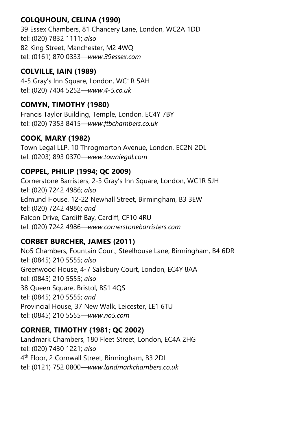# COLQUHOUN, CELINA (1990)

39 Essex Chambers, 81 Chancery Lane, London, WC2A 1DD tel: (020) 7832 1111; also 82 King Street, Manchester, M2 4WQ tel: (0161) 870 0333—www.39essex.com

# COLVILLE, IAIN (1989)

4-5 Gray's Inn Square, London, WC1R 5AH tel: (020) 7404 5252—www.4-5.co.uk

# COMYN, TIMOTHY (1980)

Francis Taylor Building, Temple, London, EC4Y 7BY tel: (020) 7353 8415—www.ftbchambers.co.uk

# COOK, MARY (1982)

Town Legal LLP, 10 Throgmorton Avenue, London, EC2N 2DL tel: (0203) 893 0370—www.townlegal.com

#### COPPEL, PHILIP (1994; QC 2009)

Cornerstone Barristers, 2-3 Gray's Inn Square, London, WC1R 5JH tel: (020) 7242 4986; also Edmund House, 12-22 Newhall Street, Birmingham, B3 3EW tel: (020) 7242 4986; and Falcon Drive, Cardiff Bay, Cardiff, CF10 4RU tel: (020) 7242 4986—www.cornerstonebarristers.com

# CORBET BURCHER, JAMES (2011)

No5 Chambers, Fountain Court, Steelhouse Lane, Birmingham, B4 6DR tel: (0845) 210 5555; also Greenwood House, 4-7 Salisbury Court, London, EC4Y 8AA tel: (0845) 210 5555; also 38 Queen Square, Bristol, BS1 4QS tel: (0845) 210 5555; and Provincial House, 37 New Walk, Leicester, LE1 6TU tel: (0845) 210 5555—www.no5.com

# CORNER, TIMOTHY (1981; QC 2002)

Landmark Chambers, 180 Fleet Street, London, EC4A 2HG tel: (020) 7430 1221; also 4 th Floor, 2 Cornwall Street, Birmingham, B3 2DL tel: (0121) 752 0800—www.landmarkchambers.co.uk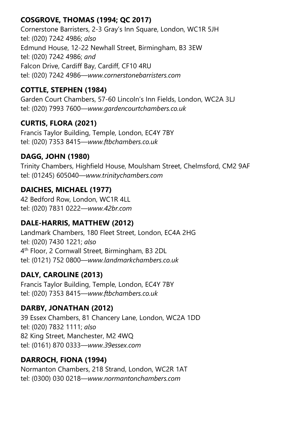# COSGROVE, THOMAS (1994; QC 2017)

Cornerstone Barristers, 2-3 Gray's Inn Square, London, WC1R 5JH tel: (020) 7242 4986; also Edmund House, 12-22 Newhall Street, Birmingham, B3 3EW tel: (020) 7242 4986; and Falcon Drive, Cardiff Bay, Cardiff, CF10 4RU tel: (020) 7242 4986—www.cornerstonebarristers.com

# COTTLE, STEPHEN (1984)

Garden Court Chambers, 57-60 Lincoln's Inn Fields, London, WC2A 3LJ tel: (020) 7993 7600—www.gardencourtchambers.co.uk

# CURTIS, FLORA (2021)

Francis Taylor Building, Temple, London, EC4Y 7BY tel: (020) 7353 8415—www.ftbchambers.co.uk

# DAGG, JOHN (1980)

Trinity Chambers, Highfield House, Moulsham Street, Chelmsford, CM2 9AF tel: (01245) 605040—www.trinitychambers.com

# DAICHES, MICHAEL (1977)

42 Bedford Row, London, WC1R 4LL tel: (020) 7831 0222—www.42br.com

# DALE-HARRIS, MATTHEW (2012)

Landmark Chambers, 180 Fleet Street, London, EC4A 2HG tel: (020) 7430 1221; also 4 th Floor, 2 Cornwall Street, Birmingham, B3 2DL tel: (0121) 752 0800—www.landmarkchambers.co.uk

# DALY, CAROLINE (2013)

Francis Taylor Building, Temple, London, EC4Y 7BY tel: (020) 7353 8415—www.ftbchambers.co.uk

# DARBY, JONATHAN (2012)

39 Essex Chambers, 81 Chancery Lane, London, WC2A 1DD tel: (020) 7832 1111; also 82 King Street, Manchester, M2 4WQ tel: (0161) 870 0333—www.39essex.com

# DARROCH, FIONA (1994)

Normanton Chambers, 218 Strand, London, WC2R 1AT tel: (0300) 030 0218—www.normantonchambers.com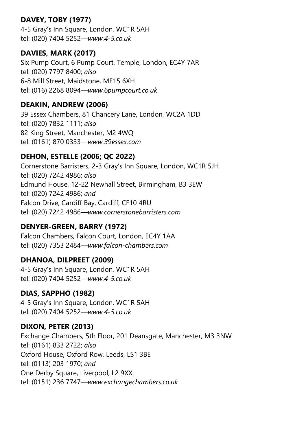# DAVEY, TOBY (1977)

4-5 Gray's Inn Square, London, WC1R 5AH tel: (020) 7404 5252—www.4-5.co.uk

#### DAVIES, MARK (2017)

Six Pump Court, 6 Pump Court, Temple, London, EC4Y 7AR tel: (020) 7797 8400; also 6-8 Mill Street, Maidstone, ME15 6XH tel: (016) 2268 8094—www.6pumpcourt.co.uk

#### DEAKIN, ANDREW (2006)

39 Essex Chambers, 81 Chancery Lane, London, WC2A 1DD tel: (020) 7832 1111; also 82 King Street, Manchester, M2 4WQ tel: (0161) 870 0333—www.39essex.com

# DEHON, ESTELLE (2006; QC 2022)

Cornerstone Barristers, 2-3 Gray's Inn Square, London, WC1R 5JH tel: (020) 7242 4986; also Edmund House, 12-22 Newhall Street, Birmingham, B3 3EW tel: (020) 7242 4986; and Falcon Drive, Cardiff Bay, Cardiff, CF10 4RU tel: (020) 7242 4986—www.cornerstonebarristers.com

# DENYER-GREEN, BARRY (1972)

Falcon Chambers, Falcon Court, London, EC4Y 1AA tel: (020) 7353 2484—www.falcon-chambers.com

# DHANOA, DILPREET (2009)

4-5 Gray's Inn Square, London, WC1R 5AH tel: (020) 7404 5252—www.4-5.co.uk

# DIAS, SAPPHO (1982)

4-5 Gray's Inn Square, London, WC1R 5AH tel: (020) 7404 5252—www.4-5.co.uk

#### DIXON, PETER (2013)

Exchange Chambers, 5th Floor, 201 Deansgate, Manchester, M3 3NW tel: (0161) 833 2722; also Oxford House, Oxford Row, Leeds, LS1 3BE tel: (0113) 203 1970; and One Derby Square, Liverpool, L2 9XX tel: (0151) 236 7747—www.exchangechambers.co.uk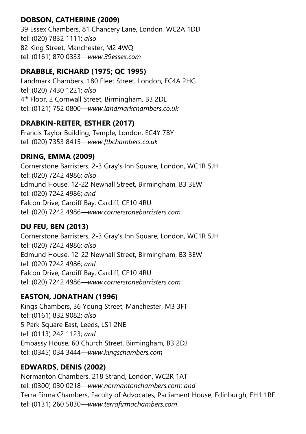# DOBSON, CATHERINE (2009)

39 Essex Chambers, 81 Chancery Lane, London, WC2A 1DD tel: (020) 7832 1111; also 82 King Street, Manchester, M2 4WQ tel: (0161) 870 0333—www.39essex.com

# DRABBLE, RICHARD (1975; QC 1995)

Landmark Chambers, 180 Fleet Street, London, EC4A 2HG tel: (020) 7430 1221; also 4 th Floor, 2 Cornwall Street, Birmingham, B3 2DL tel: (0121) 752 0800—www.landmarkchambers.co.uk

# DRABKIN-REITER, ESTHER (2017)

Francis Taylor Building, Temple, London, EC4Y 7BY tel: (020) 7353 8415—www.ftbchambers.co.uk

# DRING, EMMA (2009)

Cornerstone Barristers, 2-3 Gray's Inn Square, London, WC1R 5JH tel: (020) 7242 4986; also Edmund House, 12-22 Newhall Street, Birmingham, B3 3EW tel: (020) 7242 4986; and Falcon Drive, Cardiff Bay, Cardiff, CF10 4RU tel: (020) 7242 4986—www.cornerstonebarristers.com

# DU FEU, BEN (2013)

Cornerstone Barristers, 2-3 Gray's Inn Square, London, WC1R 5JH tel: (020) 7242 4986; also Edmund House, 12-22 Newhall Street, Birmingham, B3 3EW tel: (020) 7242 4986; and Falcon Drive, Cardiff Bay, Cardiff, CF10 4RU tel: (020) 7242 4986—www.cornerstonebarristers.com

# EASTON, JONATHAN (1996)

Kings Chambers, 36 Young Street, Manchester, M3 3FT tel: (0161) 832 9082; also 5 Park Square East, Leeds, LS1 2NE tel: (0113) 242 1123; and Embassy House, 60 Church Street, Birmingham, B3 2DJ tel: (0345) 034 3444—www.kingschambers.com

# EDWARDS, DENIS (2002)

Normanton Chambers, 218 Strand, London, WC2R 1AT tel: (0300) 030 0218—www.normantonchambers.com; and Terra Firma Chambers, Faculty of Advocates, Parliament House, Edinburgh, EH1 1RF tel: (0131) 260 5830—www.terrafirmachambers.com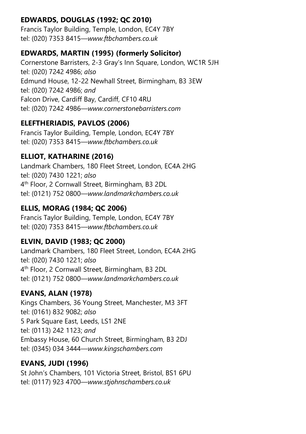# EDWARDS, DOUGLAS (1992; QC 2010)

Francis Taylor Building, Temple, London, EC4Y 7BY tel: (020) 7353 8415—www.ftbchambers.co.uk

#### EDWARDS, MARTIN (1995) (formerly Solicitor)

Cornerstone Barristers, 2-3 Gray's Inn Square, London, WC1R 5JH tel: (020) 7242 4986; also Edmund House, 12-22 Newhall Street, Birmingham, B3 3EW tel: (020) 7242 4986; and Falcon Drive, Cardiff Bay, Cardiff, CF10 4RU tel: (020) 7242 4986—www.cornerstonebarristers.com

# ELEFTHERIADIS, PAVLOS (2006)

Francis Taylor Building, Temple, London, EC4Y 7BY tel: (020) 7353 8415—www.ftbchambers.co.uk

# ELLIOT, KATHARINE (2016)

Landmark Chambers, 180 Fleet Street, London, EC4A 2HG tel: (020) 7430 1221; also 4 th Floor, 2 Cornwall Street, Birmingham, B3 2DL tel: (0121) 752 0800—www.landmarkchambers.co.uk

# ELLIS, MORAG (1984; QC 2006)

Francis Taylor Building, Temple, London, EC4Y 7BY tel: (020) 7353 8415—www.ftbchambers.co.uk

# ELVIN, DAVID (1983; QC 2000)

Landmark Chambers, 180 Fleet Street, London, EC4A 2HG tel: (020) 7430 1221; also 4 th Floor, 2 Cornwall Street, Birmingham, B3 2DL tel: (0121) 752 0800—www.landmarkchambers.co.uk

# EVANS, ALAN (1978)

Kings Chambers, 36 Young Street, Manchester, M3 3FT tel: (0161) 832 9082; also 5 Park Square East, Leeds, LS1 2NE tel: (0113) 242 1123; and Embassy House, 60 Church Street, Birmingham, B3 2DJ tel: (0345) 034 3444—www.kingschambers.com

# EVANS, JUDI (1996)

St John's Chambers, 101 Victoria Street, Bristol, BS1 6PU tel: (0117) 923 4700—www.stjohnschambers.co.uk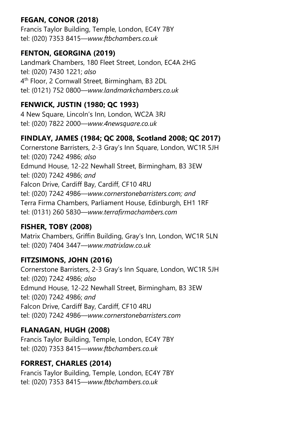# FEGAN, CONOR (2018)

Francis Taylor Building, Temple, London, EC4Y 7BY tel: (020) 7353 8415—www.ftbchambers.co.uk

# FENTON, GEORGINA (2019)

Landmark Chambers, 180 Fleet Street, London, EC4A 2HG tel: (020) 7430 1221; also 4 th Floor, 2 Cornwall Street, Birmingham, B3 2DL tel: (0121) 752 0800—www.landmarkchambers.co.uk

# FENWICK, JUSTIN (1980; QC 1993)

4 New Square, Lincoln's Inn, London, WC2A 3RJ tel: (020) 7822 2000—www.4newsquare.co.uk

# FINDLAY, JAMES (1984; QC 2008, Scotland 2008; QC 2017)

Cornerstone Barristers, 2-3 Gray's Inn Square, London, WC1R 5JH tel: (020) 7242 4986; also Edmund House, 12-22 Newhall Street, Birmingham, B3 3EW tel: (020) 7242 4986; and Falcon Drive, Cardiff Bay, Cardiff, CF10 4RU tel: (020) 7242 4986—www.cornerstonebarristers.com; and Terra Firma Chambers, Parliament House, Edinburgh, EH1 1RF tel: (0131) 260 5830—www.terrafirmachambers.com

# FISHER, TOBY (2008)

Matrix Chambers, Griffin Building, Gray's Inn, London, WC1R 5LN tel: (020) 7404 3447—www.matrixlaw.co.uk

# FITZSIMONS, JOHN (2016)

Cornerstone Barristers, 2-3 Gray's Inn Square, London, WC1R 5JH tel: (020) 7242 4986; also Edmund House, 12-22 Newhall Street, Birmingham, B3 3EW tel: (020) 7242 4986; and Falcon Drive, Cardiff Bay, Cardiff, CF10 4RU tel: (020) 7242 4986—www.cornerstonebarristers.com

# FLANAGAN, HUGH (2008)

Francis Taylor Building, Temple, London, EC4Y 7BY tel: (020) 7353 8415—www.ftbchambers.co.uk

# FORREST, CHARLES (2014)

Francis Taylor Building, Temple, London, EC4Y 7BY tel: (020) 7353 8415—www.ftbchambers.co.uk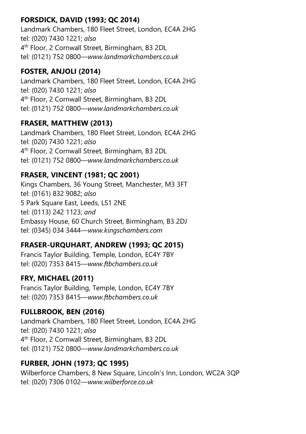# FORSDICK, DAVID (1993; QC 2014)

Landmark Chambers, 180 Fleet Street, London, EC4A 2HG tel: (020) 7430 1221; also 4 th Floor, 2 Cornwall Street, Birmingham, B3 2DL tel: (0121) 752 0800—www.landmarkchambers.co.uk

# FOSTER, ANJOLI (2014)

Landmark Chambers, 180 Fleet Street, London, EC4A 2HG tel: (020) 7430 1221; also 4 th Floor, 2 Cornwall Street, Birmingham, B3 2DL tel: (0121) 752 0800—www.landmarkchambers.co.uk

# FRASER, MATTHEW (2013)

Landmark Chambers, 180 Fleet Street, London, EC4A 2HG tel: (020) 7430 1221; also 4 th Floor, 2 Cornwall Street, Birmingham, B3 2DL tel: (0121) 752 0800—www.landmarkchambers.co.uk

# FRASER, VINCENT (1981; QC 2001)

Kings Chambers, 36 Young Street, Manchester, M3 3FT tel: (0161) 832 9082; also 5 Park Square East, Leeds, LS1 2NE tel: (0113) 242 1123; and Embassy House, 60 Church Street, Birmingham, B3 2DJ tel: (0345) 034 3444—www.kingschambers.com

# FRASER-URQUHART, ANDREW (1993; QC 2015)

Francis Taylor Building, Temple, London, EC4Y 7BY tel: (020) 7353 8415—www.ftbchambers.co.uk

# FRY, MICHAEL (2011)

Francis Taylor Building, Temple, London, EC4Y 7BY tel: (020) 7353 8415—www.ftbchambers.co.uk

# FULLBROOK, BEN (2016)

Landmark Chambers, 180 Fleet Street, London, EC4A 2HG tel: (020) 7430 1221; also 4 th Floor, 2 Cornwall Street, Birmingham, B3 2DL tel: (0121) 752 0800—www.landmarkchambers.co.uk

#### FURBER, JOHN (1973; QC 1995)

Wilberforce Chambers, 8 New Square, Lincoln's Inn, London, WC2A 3QP tel: (020) 7306 0102—www.wilberforce.co.uk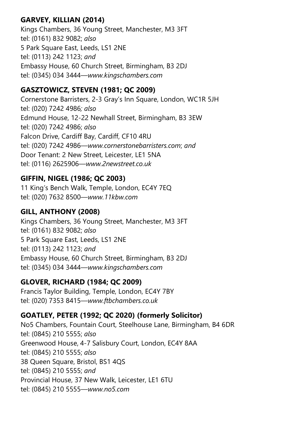# GARVEY, KILLIAN (2014)

Kings Chambers, 36 Young Street, Manchester, M3 3FT tel: (0161) 832 9082; also 5 Park Square East, Leeds, LS1 2NE tel: (0113) 242 1123; and Embassy House, 60 Church Street, Birmingham, B3 2DJ tel: (0345) 034 3444—www.kingschambers.com

# GASZTOWICZ, STEVEN (1981; QC 2009)

Cornerstone Barristers, 2-3 Gray's Inn Square, London, WC1R 5JH tel: (020) 7242 4986; also Edmund House, 12-22 Newhall Street, Birmingham, B3 3EW tel: (020) 7242 4986; also Falcon Drive, Cardiff Bay, Cardiff, CF10 4RU tel: (020) 7242 4986—www.cornerstonebarristers.com; and Door Tenant: 2 New Street, Leicester, LE1 5NA tel: (0116) 2625906—www.2newstreet.co.uk

# GIFFIN, NIGEL (1986; QC 2003)

11 King's Bench Walk, Temple, London, EC4Y 7EQ tel: (020) 7632 8500—www.11kbw.com

# GILL, ANTHONY (2008)

Kings Chambers, 36 Young Street, Manchester, M3 3FT tel: (0161) 832 9082; also 5 Park Square East, Leeds, LS1 2NE tel: (0113) 242 1123; and Embassy House, 60 Church Street, Birmingham, B3 2DJ tel: (0345) 034 3444—www.kingschambers.com

# GLOVER, RICHARD (1984; QC 2009)

Francis Taylor Building, Temple, London, EC4Y 7BY tel: (020) 7353 8415—www.ftbchambers.co.uk

# GOATLEY, PETER (1992; QC 2020) (formerly Solicitor)

No5 Chambers, Fountain Court, Steelhouse Lane, Birmingham, B4 6DR tel: (0845) 210 5555; also Greenwood House, 4-7 Salisbury Court, London, EC4Y 8AA tel: (0845) 210 5555; also 38 Queen Square, Bristol, BS1 4QS tel: (0845) 210 5555; and Provincial House, 37 New Walk, Leicester, LE1 6TU tel: (0845) 210 5555—www.no5.com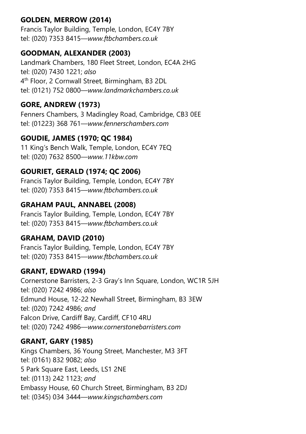# GOLDEN, MERROW (2014)

Francis Taylor Building, Temple, London, EC4Y 7BY tel: (020) 7353 8415—www.ftbchambers.co.uk

#### GOODMAN, ALEXANDER (2003)

Landmark Chambers, 180 Fleet Street, London, EC4A 2HG tel: (020) 7430 1221; also 4 th Floor, 2 Cornwall Street, Birmingham, B3 2DL tel: (0121) 752 0800—www.landmarkchambers.co.uk

# GORE, ANDREW (1973)

Fenners Chambers, 3 Madingley Road, Cambridge, CB3 0EE tel: (01223) 368 761—www.fennerschambers.com

# GOUDIE, JAMES (1970; QC 1984)

11 King's Bench Walk, Temple, London, EC4Y 7EQ tel: (020) 7632 8500—www.11kbw.com

# GOURIET, GERALD (1974; QC 2006)

Francis Taylor Building, Temple, London, EC4Y 7BY tel: (020) 7353 8415—www.ftbchambers.co.uk

# GRAHAM PAUL, ANNABEL (2008)

Francis Taylor Building, Temple, London, EC4Y 7BY tel: (020) 7353 8415—www.ftbchambers.co.uk

#### GRAHAM, DAVID (2010)

Francis Taylor Building, Temple, London, EC4Y 7BY tel: (020) 7353 8415—www.ftbchambers.co.uk

#### GRANT, EDWARD (1994)

Cornerstone Barristers, 2-3 Gray's Inn Square, London, WC1R 5JH tel: (020) 7242 4986; also Edmund House, 12-22 Newhall Street, Birmingham, B3 3EW tel: (020) 7242 4986; and Falcon Drive, Cardiff Bay, Cardiff, CF10 4RU tel: (020) 7242 4986—www.cornerstonebarristers.com

#### GRANT, GARY (1985)

Kings Chambers, 36 Young Street, Manchester, M3 3FT tel: (0161) 832 9082; also 5 Park Square East, Leeds, LS1 2NE tel: (0113) 242 1123; and Embassy House, 60 Church Street, Birmingham, B3 2DJ tel: (0345) 034 3444—www.kingschambers.com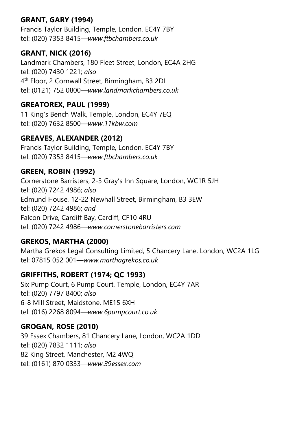# GRANT, GARY (1994)

Francis Taylor Building, Temple, London, EC4Y 7BY tel: (020) 7353 8415—www.ftbchambers.co.uk

#### GRANT, NICK (2016)

Landmark Chambers, 180 Fleet Street, London, EC4A 2HG tel: (020) 7430 1221; also 4 th Floor, 2 Cornwall Street, Birmingham, B3 2DL tel: (0121) 752 0800—www.landmarkchambers.co.uk

# GREATOREX, PAUL (1999)

11 King's Bench Walk, Temple, London, EC4Y 7EQ tel: (020) 7632 8500—www.11kbw.com

# GREAVES, ALEXANDER (2012)

Francis Taylor Building, Temple, London, EC4Y 7BY tel: (020) 7353 8415—www.ftbchambers.co.uk

# GREEN, ROBIN (1992)

Cornerstone Barristers, 2-3 Gray's Inn Square, London, WC1R 5JH tel: (020) 7242 4986; also Edmund House, 12-22 Newhall Street, Birmingham, B3 3EW tel: (020) 7242 4986; and Falcon Drive, Cardiff Bay, Cardiff, CF10 4RU tel: (020) 7242 4986—www.cornerstonebarristers.com

# GREKOS, MARTHA (2000)

Martha Grekos Legal Consulting Limited, 5 Chancery Lane, London, WC2A 1LG tel: 07815 052 001—www.marthagrekos.co.uk

# GRIFFITHS, ROBERT (1974; QC 1993)

Six Pump Court, 6 Pump Court, Temple, London, EC4Y 7AR tel: (020) 7797 8400; also 6-8 Mill Street, Maidstone, ME15 6XH tel: (016) 2268 8094—www.6pumpcourt.co.uk

# GROGAN, ROSE (2010)

39 Essex Chambers, 81 Chancery Lane, London, WC2A 1DD tel: (020) 7832 1111; also 82 King Street, Manchester, M2 4WQ tel: (0161) 870 0333—www.39essex.com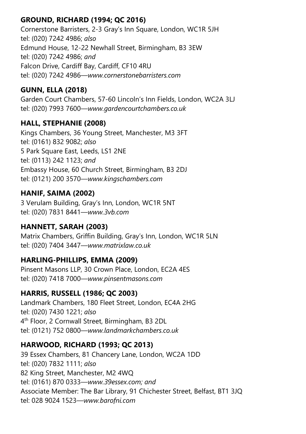# GROUND, RICHARD (1994; QC 2016)

Cornerstone Barristers, 2-3 Gray's Inn Square, London, WC1R 5JH tel: (020) 7242 4986; also Edmund House, 12-22 Newhall Street, Birmingham, B3 3EW tel: (020) 7242 4986; and Falcon Drive, Cardiff Bay, Cardiff, CF10 4RU tel: (020) 7242 4986—www.cornerstonebarristers.com

# GUNN, ELLA (2018)

Garden Court Chambers, 57-60 Lincoln's Inn Fields, London, WC2A 3LJ tel: (020) 7993 7600—www.gardencourtchambers.co.uk

#### HALL, STEPHANIE (2008)

Kings Chambers, 36 Young Street, Manchester, M3 3FT tel: (0161) 832 9082; also 5 Park Square East, Leeds, LS1 2NE tel: (0113) 242 1123; and Embassy House, 60 Church Street, Birmingham, B3 2DJ tel: (0121) 200 3570—www.kingschambers.com

# HANIF, SAIMA (2002)

3 Verulam Building, Gray's Inn, London, WC1R 5NT tel: (020) 7831 8441—www.3vb.com

# HANNETT, SARAH (2003)

Matrix Chambers, Griffin Building, Gray's Inn, London, WC1R 5LN tel: (020) 7404 3447—www.matrixlaw.co.uk

# HARLING-PHILLIPS, EMMA (2009)

Pinsent Masons LLP, 30 Crown Place, London, EC2A 4ES tel: (020) 7418 7000—www.pinsentmasons.com

#### HARRIS, RUSSELL (1986; QC 2003)

Landmark Chambers, 180 Fleet Street, London, EC4A 2HG tel: (020) 7430 1221; also 4 th Floor, 2 Cornwall Street, Birmingham, B3 2DL tel: (0121) 752 0800—www.landmarkchambers.co.uk

#### HARWOOD, RICHARD (1993; QC 2013)

39 Essex Chambers, 81 Chancery Lane, London, WC2A 1DD tel: (020) 7832 1111; also 82 King Street, Manchester, M2 4WQ tel: (0161) 870 0333—www.39essex.com; and Associate Member: The Bar Library, 91 Chichester Street, Belfast, BT1 3JQ tel: 028 9024 1523—www.barofni.com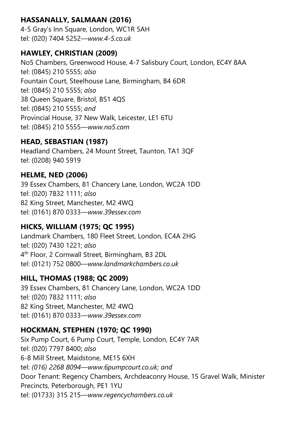# HASSANALLY, SALMAAN (2016)

4-5 Gray's Inn Square, London, WC1R 5AH tel: (020) 7404 5252—www.4-5.co.uk

#### HAWLEY, CHRISTIAN (2009)

No5 Chambers, Greenwood House, 4-7 Salisbury Court, London, EC4Y 8AA tel: (0845) 210 5555; also Fountain Court, Steelhouse Lane, Birmingham, B4 6DR tel: (0845) 210 5555; also 38 Queen Square, Bristol, BS1 4QS tel: (0845) 210 5555; and Provincial House, 37 New Walk, Leicester, LE1 6TU tel: (0845) 210 5555—www.no5.com

# HEAD, SEBASTIAN (1987)

Headland Chambers, 24 Mount Street, Taunton, TA1 3QF tel: (0208) 940 5919

# HELME, NED (2006)

39 Essex Chambers, 81 Chancery Lane, London, WC2A 1DD tel: (020) 7832 1111; also 82 King Street, Manchester, M2 4WQ tel: (0161) 870 0333—www.39essex.com

# HICKS, WILLIAM (1975; QC 1995)

Landmark Chambers, 180 Fleet Street, London, EC4A 2HG tel: (020) 7430 1221; also 4 th Floor, 2 Cornwall Street, Birmingham, B3 2DL tel: (0121) 752 0800—www.landmarkchambers.co.uk

# HILL, THOMAS (1988; QC 2009)

39 Essex Chambers, 81 Chancery Lane, London, WC2A 1DD tel: (020) 7832 1111; also 82 King Street, Manchester, M2 4WQ tel: (0161) 870 0333—www.39essex.com

# HOCKMAN, STEPHEN (1970; QC 1990)

Six Pump Court, 6 Pump Court, Temple, London, EC4Y 7AR tel: (020) 7797 8400; also 6-8 Mill Street, Maidstone, ME15 6XH tel: (016) 2268 8094—www.6pumpcourt.co.uk; and Door Tenant: Regency Chambers, Archdeaconry House, 15 Gravel Walk, Minister Precincts, Peterborough, PE1 1YU tel: (01733) 315 215—www.regencychambers.co.uk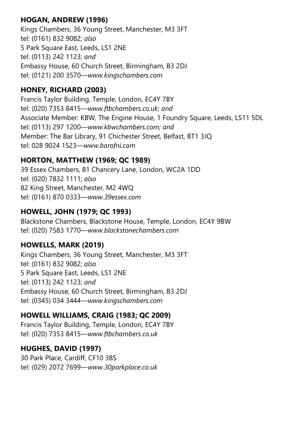# HOGAN, ANDREW (1996)

Kings Chambers, 36 Young Street, Manchester, M3 3FT tel: (0161) 832 9082; also 5 Park Square East, Leeds, LS1 2NE tel: (0113) 242 1123; and Embassy House, 60 Church Street, Birmingham, B3 2DJ tel: (0121) 200 3570—www.kingschambers.com

#### HONEY, RICHARD (2003)

Francis Taylor Building, Temple, London, EC4Y 7BY tel: (020) 7353 8415—www.ftbchambers.co.uk; and Associate Member: KBW, The Engine House, 1 Foundry Square, Leeds, LS11 5DL tel: (0113) 297 1200—www.kbwchambers.com; and Member: The Bar Library, 91 Chichester Street, Belfast, BT1 3JQ tel: 028 9024 1523—www.barofni.com

# HORTON, MATTHEW (1969; QC 1989)

39 Essex Chambers, 81 Chancery Lane, London, WC2A 1DD tel: (020) 7832 1111; also 82 King Street, Manchester, M2 4WQ tel: (0161) 870 0333—www.39essex.com

# HOWELL, JOHN (1979; QC 1993)

Blackstone Chambers, Blackstone House, Temple, London, EC4Y 9BW tel: (020) 7583 1770—www.blackstonechambers.com

#### HOWELLS, MARK (2019)

Kings Chambers, 36 Young Street, Manchester, M3 3FT tel: (0161) 832 9082; also 5 Park Square East, Leeds, LS1 2NE tel: (0113) 242 1123; and Embassy House, 60 Church Street, Birmingham, B3 2DJ tel: (0345) 034 3444—www.kingschambers.com

# HOWELL WILLIAMS, CRAIG (1983; QC 2009)

Francis Taylor Building, Temple, London, EC4Y 7BY tel: (020) 7353 8415—www.ftbchambers.co.uk

#### HUGHES, DAVID (1997)

30 Park Place, Cardiff, CF10 3BS tel: (029) 2072 7699—www.30parkplace.co.uk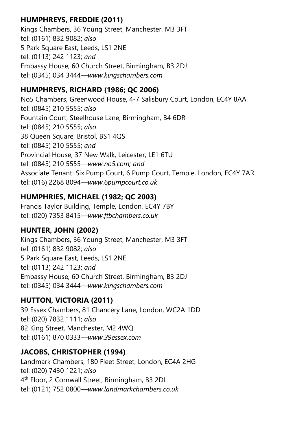# HUMPHREYS, FREDDIE (2011)

Kings Chambers, 36 Young Street, Manchester, M3 3FT tel: (0161) 832 9082; also 5 Park Square East, Leeds, LS1 2NE tel: (0113) 242 1123; and Embassy House, 60 Church Street, Birmingham, B3 2DJ tel: (0345) 034 3444—www.kingschambers.com

# HUMPHREYS, RICHARD (1986; QC 2006)

No5 Chambers, Greenwood House, 4-7 Salisbury Court, London, EC4Y 8AA tel: (0845) 210 5555; also Fountain Court, Steelhouse Lane, Birmingham, B4 6DR tel: (0845) 210 5555; also 38 Queen Square, Bristol, BS1 4QS tel: (0845) 210 5555; and Provincial House, 37 New Walk, Leicester, LE1 6TU tel: (0845) 210 5555—www.no5.com; and Associate Tenant: Six Pump Court, 6 Pump Court, Temple, London, EC4Y 7AR tel: (016) 2268 8094—www.6pumpcourt.co.uk

# HUMPHRIES, MICHAEL (1982; QC 2003)

Francis Taylor Building, Temple, London, EC4Y 7BY tel: (020) 7353 8415—www.ftbchambers.co.uk

# HUNTER, JOHN (2002)

Kings Chambers, 36 Young Street, Manchester, M3 3FT tel: (0161) 832 9082; also 5 Park Square East, Leeds, LS1 2NE tel: (0113) 242 1123; and Embassy House, 60 Church Street, Birmingham, B3 2DJ tel: (0345) 034 3444—www.kingschambers.com

# HUTTON, VICTORIA (2011)

39 Essex Chambers, 81 Chancery Lane, London, WC2A 1DD tel: (020) 7832 1111; also 82 King Street, Manchester, M2 4WQ tel: (0161) 870 0333—www.39essex.com

# JACOBS, CHRISTOPHER (1994)

Landmark Chambers, 180 Fleet Street, London, EC4A 2HG tel: (020) 7430 1221; also 4 th Floor, 2 Cornwall Street, Birmingham, B3 2DL tel: (0121) 752 0800—www.landmarkchambers.co.uk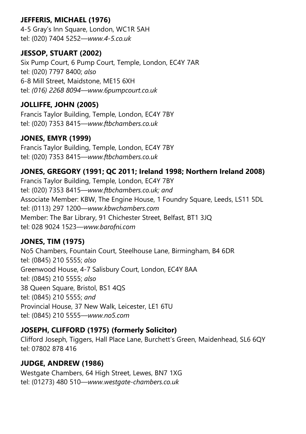# JEFFERIS, MICHAEL (1976)

4-5 Gray's Inn Square, London, WC1R 5AH tel: (020) 7404 5252—www.4-5.co.uk

#### JESSOP, STUART (2002)

Six Pump Court, 6 Pump Court, Temple, London, EC4Y 7AR tel: (020) 7797 8400; also 6-8 Mill Street, Maidstone, ME15 6XH tel: (016) 2268 8094—www.6pumpcourt.co.uk

#### JOLLIFFE, JOHN (2005)

Francis Taylor Building, Temple, London, EC4Y 7BY tel: (020) 7353 8415—www.ftbchambers.co.uk

#### JONES, EMYR (1999)

Francis Taylor Building, Temple, London, EC4Y 7BY tel: (020) 7353 8415—www.ftbchambers.co.uk

#### JONES, GREGORY (1991; QC 2011; Ireland 1998; Northern Ireland 2008)

Francis Taylor Building, Temple, London, EC4Y 7BY tel: (020) 7353 8415—www.ftbchambers.co.uk; and Associate Member: KBW, The Engine House, 1 Foundry Square, Leeds, LS11 5DL tel: (0113) 297 1200—www.kbwchambers.com Member: The Bar Library, 91 Chichester Street, Belfast, BT1 3JQ tel: 028 9024 1523—www.barofni.com

#### JONES, TIM (1975)

No5 Chambers, Fountain Court, Steelhouse Lane, Birmingham, B4 6DR tel: (0845) 210 5555; also Greenwood House, 4-7 Salisbury Court, London, EC4Y 8AA tel: (0845) 210 5555; also 38 Queen Square, Bristol, BS1 4QS tel: (0845) 210 5555; and Provincial House, 37 New Walk, Leicester, LE1 6TU tel: (0845) 210 5555—www.no5.com

#### JOSEPH, CLIFFORD (1975) (formerly Solicitor)

Clifford Joseph, Tiggers, Hall Place Lane, Burchett's Green, Maidenhead, SL6 6QY tel: 07802 878 416

#### JUDGE, ANDREW (1986)

Westgate Chambers, 64 High Street, Lewes, BN7 1XG tel: (01273) 480 510—www.westgate-chambers.co.uk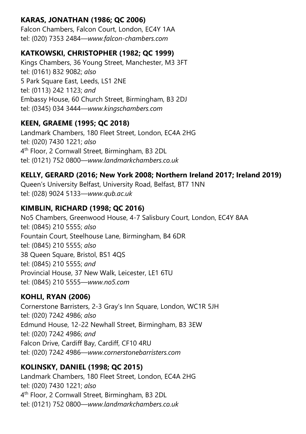# KARAS, JONATHAN (1986; QC 2006)

Falcon Chambers, Falcon Court, London, EC4Y 1AA tel: (020) 7353 2484—www.falcon-chambers.com

# KATKOWSKI, CHRISTOPHER (1982; QC 1999)

Kings Chambers, 36 Young Street, Manchester, M3 3FT tel: (0161) 832 9082; also 5 Park Square East, Leeds, LS1 2NE tel: (0113) 242 1123; and Embassy House, 60 Church Street, Birmingham, B3 2DJ tel: (0345) 034 3444—www.kingschambers.com

# KEEN, GRAEME (1995; QC 2018)

Landmark Chambers, 180 Fleet Street, London, EC4A 2HG tel: (020) 7430 1221; also 4 th Floor, 2 Cornwall Street, Birmingham, B3 2DL tel: (0121) 752 0800—www.landmarkchambers.co.uk

# KELLY, GERARD (2016; New York 2008; Northern Ireland 2017; Ireland 2019)

Queen's University Belfast, University Road, Belfast, BT7 1NN tel: (028) 9024 5133—www.qub.ac.uk

# KIMBLIN, RICHARD (1998; QC 2016)

No5 Chambers, Greenwood House, 4-7 Salisbury Court, London, EC4Y 8AA tel: (0845) 210 5555; also Fountain Court, Steelhouse Lane, Birmingham, B4 6DR tel: (0845) 210 5555; also 38 Queen Square, Bristol, BS1 4QS tel: (0845) 210 5555; and Provincial House, 37 New Walk, Leicester, LE1 6TU tel: (0845) 210 5555—www.no5.com

# KOHLI, RYAN (2006)

Cornerstone Barristers, 2-3 Gray's Inn Square, London, WC1R 5JH tel: (020) 7242 4986; also Edmund House, 12-22 Newhall Street, Birmingham, B3 3EW tel: (020) 7242 4986; and Falcon Drive, Cardiff Bay, Cardiff, CF10 4RU tel: (020) 7242 4986—www.cornerstonebarristers.com

# KOLINSKY, DANIEL (1998; QC 2015)

Landmark Chambers, 180 Fleet Street, London, EC4A 2HG tel: (020) 7430 1221; also 4 th Floor, 2 Cornwall Street, Birmingham, B3 2DL tel: (0121) 752 0800—www.landmarkchambers.co.uk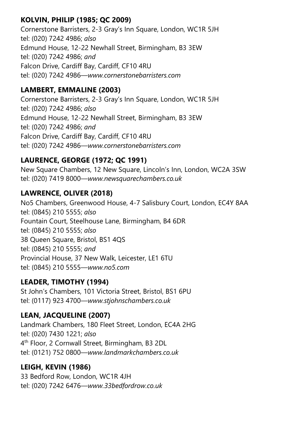# KOLVIN, PHILIP (1985; QC 2009)

Cornerstone Barristers, 2-3 Gray's Inn Square, London, WC1R 5JH tel: (020) 7242 4986; also Edmund House, 12-22 Newhall Street, Birmingham, B3 3EW tel: (020) 7242 4986; and Falcon Drive, Cardiff Bay, Cardiff, CF10 4RU tel: (020) 7242 4986—www.cornerstonebarristers.com

#### LAMBERT, EMMALINE (2003)

Cornerstone Barristers, 2-3 Gray's Inn Square, London, WC1R 5JH tel: (020) 7242 4986; also Edmund House, 12-22 Newhall Street, Birmingham, B3 3EW tel: (020) 7242 4986; and Falcon Drive, Cardiff Bay, Cardiff, CF10 4RU tel: (020) 7242 4986—www.cornerstonebarristers.com

# LAURENCE, GEORGE (1972; QC 1991)

New Square Chambers, 12 New Square, Lincoln's Inn, London, WC2A 3SW tel: (020) 7419 8000—www.newsquarechambers.co.uk

# LAWRENCE, OLIVER (2018)

No5 Chambers, Greenwood House, 4-7 Salisbury Court, London, EC4Y 8AA tel: (0845) 210 5555; also Fountain Court, Steelhouse Lane, Birmingham, B4 6DR tel: (0845) 210 5555; also 38 Queen Square, Bristol, BS1 4QS tel: (0845) 210 5555; and Provincial House, 37 New Walk, Leicester, LE1 6TU tel: (0845) 210 5555—www.no5.com

# LEADER, TIMOTHY (1994)

St John's Chambers, 101 Victoria Street, Bristol, BS1 6PU tel: (0117) 923 4700—www.stjohnschambers.co.uk

# LEAN, JACQUELINE (2007)

Landmark Chambers, 180 Fleet Street, London, EC4A 2HG tel: (020) 7430 1221; also 4 th Floor, 2 Cornwall Street, Birmingham, B3 2DL tel: (0121) 752 0800—www.landmarkchambers.co.uk

# LEIGH, KEVIN (1986)

33 Bedford Row, London, WC1R 4JH tel: (020) 7242 6476—www.33bedfordrow.co.uk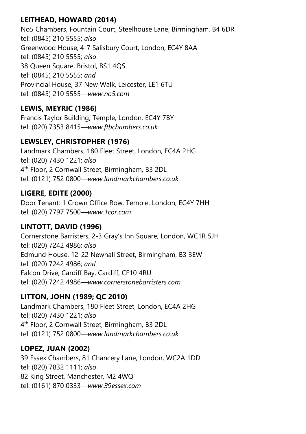# LEITHEAD, HOWARD (2014)

No5 Chambers, Fountain Court, Steelhouse Lane, Birmingham, B4 6DR tel: (0845) 210 5555; also Greenwood House, 4-7 Salisbury Court, London, EC4Y 8AA tel: (0845) 210 5555; also 38 Queen Square, Bristol, BS1 4QS tel: (0845) 210 5555; and Provincial House, 37 New Walk, Leicester, LE1 6TU tel: (0845) 210 5555—www.no5.com

# LEWIS, MEYRIC (1986)

Francis Taylor Building, Temple, London, EC4Y 7BY tel: (020) 7353 8415—www.ftbchambers.co.uk

# LEWSLEY, CHRISTOPHER (1976)

Landmark Chambers, 180 Fleet Street, London, EC4A 2HG tel: (020) 7430 1221; also 4 th Floor, 2 Cornwall Street, Birmingham, B3 2DL tel: (0121) 752 0800—www.landmarkchambers.co.uk

# LIGERE, EDITE (2000)

Door Tenant: 1 Crown Office Row, Temple, London, EC4Y 7HH tel: (020) 7797 7500—www.1cor.com

# LINTOTT, DAVID (1996)

Cornerstone Barristers, 2-3 Gray's Inn Square, London, WC1R 5JH tel: (020) 7242 4986; also Edmund House, 12-22 Newhall Street, Birmingham, B3 3EW tel: (020) 7242 4986; and Falcon Drive, Cardiff Bay, Cardiff, CF10 4RU tel: (020) 7242 4986—www.cornerstonebarristers.com

# LITTON, JOHN (1989; QC 2010)

Landmark Chambers, 180 Fleet Street, London, EC4A 2HG tel: (020) 7430 1221; also 4 th Floor, 2 Cornwall Street, Birmingham, B3 2DL tel: (0121) 752 0800—www.landmarkchambers.co.uk

# LOPEZ, JUAN (2002)

39 Essex Chambers, 81 Chancery Lane, London, WC2A 1DD tel: (020) 7832 1111; also 82 King Street, Manchester, M2 4WQ tel: (0161) 870 0333—www.39essex.com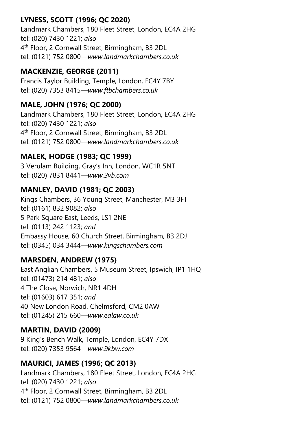# LYNESS, SCOTT (1996; QC 2020)

Landmark Chambers, 180 Fleet Street, London, EC4A 2HG tel: (020) 7430 1221; also 4 th Floor, 2 Cornwall Street, Birmingham, B3 2DL tel: (0121) 752 0800—www.landmarkchambers.co.uk

# MACKENZIE, GEORGE (2011)

Francis Taylor Building, Temple, London, EC4Y 7BY tel: (020) 7353 8415—www.ftbchambers.co.uk

# MALE, JOHN (1976; QC 2000)

Landmark Chambers, 180 Fleet Street, London, EC4A 2HG tel: (020) 7430 1221; also 4 th Floor, 2 Cornwall Street, Birmingham, B3 2DL tel: (0121) 752 0800—www.landmarkchambers.co.uk

#### MALEK, HODGE (1983; QC 1999)

3 Verulam Building, Gray's Inn, London, WC1R 5NT tel: (020) 7831 8441—www.3vb.com

# MANLEY, DAVID (1981; QC 2003)

Kings Chambers, 36 Young Street, Manchester, M3 3FT tel: (0161) 832 9082; also 5 Park Square East, Leeds, LS1 2NE tel: (0113) 242 1123; and Embassy House, 60 Church Street, Birmingham, B3 2DJ tel: (0345) 034 3444—www.kingschambers.com

#### MARSDEN, ANDREW (1975)

East Anglian Chambers, 5 Museum Street, Ipswich, IP1 1HQ tel: (01473) 214 481; also 4 The Close, Norwich, NR1 4DH tel: (01603) 617 351; and 40 New London Road, Chelmsford, CM2 0AW tel: (01245) 215 660—www.ealaw.co.uk

#### MARTIN, DAVID (2009)

9 King's Bench Walk, Temple, London, EC4Y 7DX tel: (020) 7353 9564—www.9kbw.com

#### MAURICI, JAMES (1996; QC 2013)

Landmark Chambers, 180 Fleet Street, London, EC4A 2HG tel: (020) 7430 1221; also 4 th Floor, 2 Cornwall Street, Birmingham, B3 2DL tel: (0121) 752 0800—www.landmarkchambers.co.uk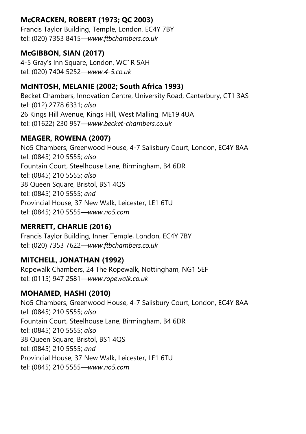# McCRACKEN, ROBERT (1973; QC 2003)

Francis Taylor Building, Temple, London, EC4Y 7BY tel: (020) 7353 8415—www.ftbchambers.co.uk

#### McGIBBON, SIAN (2017)

4-5 Gray's Inn Square, London, WC1R 5AH tel: (020) 7404 5252—www.4-5.co.uk

# McINTOSH, MELANIE (2002; South Africa 1993)

Becket Chambers, Innovation Centre, University Road, Canterbury, CT1 3AS tel: (012) 2778 6331; also 26 Kings Hill Avenue, Kings Hill, West Malling, ME19 4UA tel: (01622) 230 957—www.becket-chambers.co.uk

# MEAGER, ROWENA (2007)

No5 Chambers, Greenwood House, 4-7 Salisbury Court, London, EC4Y 8AA tel: (0845) 210 5555; also Fountain Court, Steelhouse Lane, Birmingham, B4 6DR tel: (0845) 210 5555; also 38 Queen Square, Bristol, BS1 4QS tel: (0845) 210 5555; and Provincial House, 37 New Walk, Leicester, LE1 6TU tel: (0845) 210 5555—www.no5.com

# MERRETT, CHARLIE (2016)

Francis Taylor Building, Inner Temple, London, EC4Y 7BY tel: (020) 7353 7622—www.ftbchambers.co.uk

# MITCHELL, JONATHAN (1992)

Ropewalk Chambers, 24 The Ropewalk, Nottingham, NG1 5EF tel: (0115) 947 2581—www.ropewalk.co.uk

#### MOHAMED, HASHI (2010)

No5 Chambers, Greenwood House, 4-7 Salisbury Court, London, EC4Y 8AA tel: (0845) 210 5555; also Fountain Court, Steelhouse Lane, Birmingham, B4 6DR tel: (0845) 210 5555; also 38 Queen Square, Bristol, BS1 4QS tel: (0845) 210 5555; and Provincial House, 37 New Walk, Leicester, LE1 6TU tel: (0845) 210 5555—www.no5.com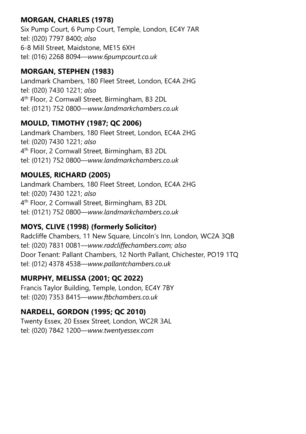# MORGAN, CHARLES (1978)

Six Pump Court, 6 Pump Court, Temple, London, EC4Y 7AR tel: (020) 7797 8400; also 6-8 Mill Street, Maidstone, ME15 6XH tel: (016) 2268 8094—www.6pumpcourt.co.uk

# MORGAN, STEPHEN (1983)

Landmark Chambers, 180 Fleet Street, London, EC4A 2HG tel: (020) 7430 1221; also 4 th Floor, 2 Cornwall Street, Birmingham, B3 2DL tel: (0121) 752 0800—www.landmarkchambers.co.uk

# MOULD, TIMOTHY (1987; QC 2006)

Landmark Chambers, 180 Fleet Street, London, EC4A 2HG tel: (020) 7430 1221; also 4 th Floor, 2 Cornwall Street, Birmingham, B3 2DL tel: (0121) 752 0800—www.landmarkchambers.co.uk

# MOULES, RICHARD (2005)

Landmark Chambers, 180 Fleet Street, London, EC4A 2HG tel: (020) 7430 1221; also 4 th Floor, 2 Cornwall Street, Birmingham, B3 2DL tel: (0121) 752 0800—www.landmarkchambers.co.uk

# MOYS, CLIVE (1998) (formerly Solicitor)

Radcliffe Chambers, 11 New Square, Lincoln's Inn, London, WC2A 3QB tel: (020) 7831 0081—www.radcliffechambers.com; also Door Tenant: Pallant Chambers, 12 North Pallant, Chichester, PO19 1TQ tel: (012) 4378 4538—www.pallantchambers.co.uk

# MURPHY, MELISSA (2001; QC 2022)

Francis Taylor Building, Temple, London, EC4Y 7BY tel: (020) 7353 8415—www.ftbchambers.co.uk

# NARDELL, GORDON (1995; QC 2010)

Twenty Essex, 20 Essex Street, London, WC2R 3AL tel: (020) 7842 1200—www.twentyessex.com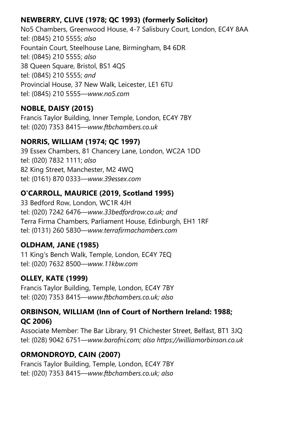# NEWBERRY, CLIVE (1978; QC 1993) (formerly Solicitor)

No5 Chambers, Greenwood House, 4-7 Salisbury Court, London, EC4Y 8AA tel: (0845) 210 5555; also Fountain Court, Steelhouse Lane, Birmingham, B4 6DR tel: (0845) 210 5555; also 38 Queen Square, Bristol, BS1 4QS tel: (0845) 210 5555; and Provincial House, 37 New Walk, Leicester, LE1 6TU tel: (0845) 210 5555—www.no5.com

# NOBLE, DAISY (2015)

Francis Taylor Building, Inner Temple, London, EC4Y 7BY tel: (020) 7353 8415—www.ftbchambers.co.uk

# NORRIS, WILLIAM (1974; QC 1997)

39 Essex Chambers, 81 Chancery Lane, London, WC2A 1DD tel: (020) 7832 1111; also 82 King Street, Manchester, M2 4WQ tel: (0161) 870 0333—www.39essex.com

# O'CARROLL, MAURICE (2019, Scotland 1995)

33 Bedford Row, London, WC1R 4JH tel: (020) 7242 6476—www.33bedfordrow.co.uk; and Terra Firma Chambers, Parliament House, Edinburgh, EH1 1RF tel: (0131) 260 5830—www.terrafirmachambers.com

#### OLDHAM, JANE (1985)

11 King's Bench Walk, Temple, London, EC4Y 7EQ tel: (020) 7632 8500—www.11kbw.com

# OLLEY, KATE (1999)

Francis Taylor Building, Temple, London, EC4Y 7BY tel: (020) 7353 8415—www.ftbchambers.co.uk; also

#### ORBINSON, WILLIAM (Inn of Court of Northern Ireland: 1988; QC 2006)

Associate Member: The Bar Library, 91 Chichester Street, Belfast, BT1 3JQ tel: (028) 9042 6751—www.barofni.com; also https://williamorbinson.co.uk

# ORMONDROYD, CAIN (2007)

Francis Taylor Building, Temple, London, EC4Y 7BY tel: (020) 7353 8415—www.ftbchambers.co.uk; also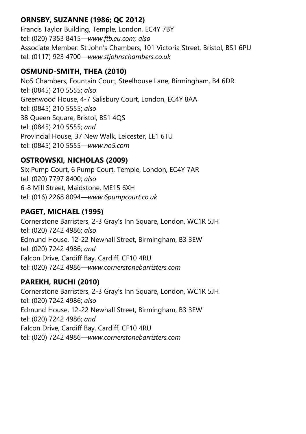# ORNSBY, SUZANNE (1986; QC 2012)

Francis Taylor Building, Temple, London, EC4Y 7BY tel: (020) 7353 8415—www.ftb.eu.com; also Associate Member: St John's Chambers, 101 Victoria Street, Bristol, BS1 6PU tel: (0117) 923 4700—www.stjohnschambers.co.uk

# OSMUND-SMITH, THEA (2010)

No5 Chambers, Fountain Court, Steelhouse Lane, Birmingham, B4 6DR tel: (0845) 210 5555; also Greenwood House, 4-7 Salisbury Court, London, EC4Y 8AA tel: (0845) 210 5555; also 38 Queen Square, Bristol, BS1 4QS tel: (0845) 210 5555; and Provincial House, 37 New Walk, Leicester, LE1 6TU tel: (0845) 210 5555—www.no5.com

# OSTROWSKI, NICHOLAS (2009)

Six Pump Court, 6 Pump Court, Temple, London, EC4Y 7AR tel: (020) 7797 8400; also 6-8 Mill Street, Maidstone, ME15 6XH tel: (016) 2268 8094—www.6pumpcourt.co.uk

# PAGET, MICHAEL (1995)

Cornerstone Barristers, 2-3 Gray's Inn Square, London, WC1R 5JH tel: (020) 7242 4986; also Edmund House, 12-22 Newhall Street, Birmingham, B3 3EW tel: (020) 7242 4986; and Falcon Drive, Cardiff Bay, Cardiff, CF10 4RU tel: (020) 7242 4986—www.cornerstonebarristers.com

# PAREKH, RUCHI (2010)

Cornerstone Barristers, 2-3 Gray's Inn Square, London, WC1R 5JH tel: (020) 7242 4986; also Edmund House, 12-22 Newhall Street, Birmingham, B3 3EW tel: (020) 7242 4986; and Falcon Drive, Cardiff Bay, Cardiff, CF10 4RU tel: (020) 7242 4986—www.cornerstonebarristers.com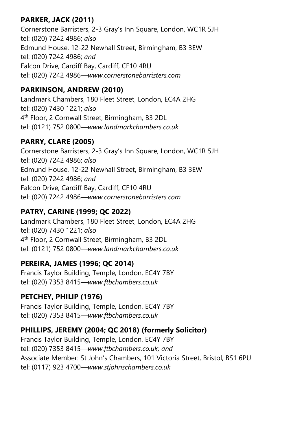# PARKER, JACK (2011)

Cornerstone Barristers, 2-3 Gray's Inn Square, London, WC1R 5JH tel: (020) 7242 4986; also Edmund House, 12-22 Newhall Street, Birmingham, B3 3EW tel: (020) 7242 4986; and Falcon Drive, Cardiff Bay, Cardiff, CF10 4RU tel: (020) 7242 4986—www.cornerstonebarristers.com

# PARKINSON, ANDREW (2010)

Landmark Chambers, 180 Fleet Street, London, EC4A 2HG tel: (020) 7430 1221; also 4 th Floor, 2 Cornwall Street, Birmingham, B3 2DL tel: (0121) 752 0800—www.landmarkchambers.co.uk

# PARRY, CLARE (2005)

Cornerstone Barristers, 2-3 Gray's Inn Square, London, WC1R 5JH tel: (020) 7242 4986; also Edmund House, 12-22 Newhall Street, Birmingham, B3 3EW tel: (020) 7242 4986; and Falcon Drive, Cardiff Bay, Cardiff, CF10 4RU tel: (020) 7242 4986—www.cornerstonebarristers.com

# PATRY, CARINE (1999; QC 2022)

Landmark Chambers, 180 Fleet Street, London, EC4A 2HG tel: (020) 7430 1221; also 4 th Floor, 2 Cornwall Street, Birmingham, B3 2DL tel: (0121) 752 0800—www.landmarkchambers.co.uk

# PEREIRA, JAMES (1996; QC 2014)

Francis Taylor Building, Temple, London, EC4Y 7BY tel: (020) 7353 8415—www.ftbchambers.co.uk

# PETCHEY, PHILIP (1976)

Francis Taylor Building, Temple, London, EC4Y 7BY tel: (020) 7353 8415—www.ftbchambers.co.uk

# PHILLIPS, JEREMY (2004; QC 2018) (formerly Solicitor)

Francis Taylor Building, Temple, London, EC4Y 7BY tel: (020) 7353 8415—www.ftbchambers.co.uk; and Associate Member: St John's Chambers, 101 Victoria Street, Bristol, BS1 6PU tel: (0117) 923 4700—www.stjohnschambers.co.uk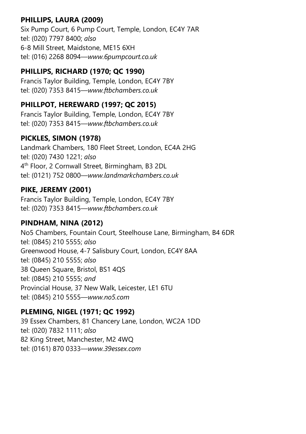# PHILLIPS, LAURA (2009)

Six Pump Court, 6 Pump Court, Temple, London, EC4Y 7AR tel: (020) 7797 8400; also 6-8 Mill Street, Maidstone, ME15 6XH tel: (016) 2268 8094—www.6pumpcourt.co.uk

# PHILLIPS, RICHARD (1970; QC 1990)

Francis Taylor Building, Temple, London, EC4Y 7BY tel: (020) 7353 8415—www.ftbchambers.co.uk

# PHILLPOT, HEREWARD (1997; QC 2015)

Francis Taylor Building, Temple, London, EC4Y 7BY tel: (020) 7353 8415—www.ftbchambers.co.uk

# PICKLES, SIMON (1978)

Landmark Chambers, 180 Fleet Street, London, EC4A 2HG tel: (020) 7430 1221; also 4 th Floor, 2 Cornwall Street, Birmingham, B3 2DL tel: (0121) 752 0800—www.landmarkchambers.co.uk

# PIKE, JEREMY (2001)

Francis Taylor Building, Temple, London, EC4Y 7BY tel: (020) 7353 8415—www.ftbchambers.co.uk

# PINDHAM, NINA (2012)

No5 Chambers, Fountain Court, Steelhouse Lane, Birmingham, B4 6DR tel: (0845) 210 5555; also Greenwood House, 4-7 Salisbury Court, London, EC4Y 8AA tel: (0845) 210 5555; also 38 Queen Square, Bristol, BS1 4QS tel: (0845) 210 5555; and Provincial House, 37 New Walk, Leicester, LE1 6TU tel: (0845) 210 5555—www.no5.com

# PLEMING, NIGEL (1971; QC 1992)

39 Essex Chambers, 81 Chancery Lane, London, WC2A 1DD tel: (020) 7832 1111; also 82 King Street, Manchester, M2 4WQ tel: (0161) 870 0333—www.39essex.com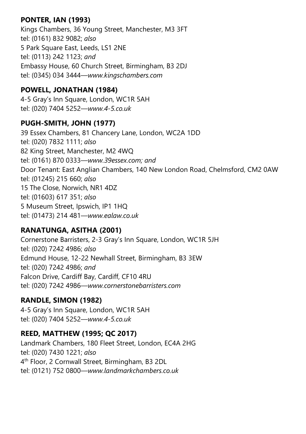# PONTER, IAN (1993)

Kings Chambers, 36 Young Street, Manchester, M3 3FT tel: (0161) 832 9082; also 5 Park Square East, Leeds, LS1 2NE tel: (0113) 242 1123; and Embassy House, 60 Church Street, Birmingham, B3 2DJ tel: (0345) 034 3444—www.kingschambers.com

#### POWELL, JONATHAN (1984)

4-5 Gray's Inn Square, London, WC1R 5AH tel: (020) 7404 5252—www.4-5.co.uk

# PUGH-SMITH, JOHN (1977)

39 Essex Chambers, 81 Chancery Lane, London, WC2A 1DD tel: (020) 7832 1111; also 82 King Street, Manchester, M2 4WQ tel: (0161) 870 0333—www.39essex.com; and Door Tenant: East Anglian Chambers, 140 New London Road, Chelmsford, CM2 0AW tel: (01245) 215 660; also 15 The Close, Norwich, NR1 4DZ tel: (01603) 617 351; also 5 Museum Street, Ipswich, IP1 1HQ tel: (01473) 214 481—www.ealaw.co.uk

# RANATUNGA, ASITHA (2001)

Cornerstone Barristers, 2-3 Gray's Inn Square, London, WC1R 5JH tel: (020) 7242 4986; also Edmund House, 12-22 Newhall Street, Birmingham, B3 3EW tel: (020) 7242 4986; and Falcon Drive, Cardiff Bay, Cardiff, CF10 4RU tel: (020) 7242 4986—www.cornerstonebarristers.com

# RANDLE, SIMON (1982)

4-5 Gray's Inn Square, London, WC1R 5AH tel: (020) 7404 5252—www.4-5.co.uk

# REED, MATTHEW (1995; QC 2017)

Landmark Chambers, 180 Fleet Street, London, EC4A 2HG tel: (020) 7430 1221; also 4 th Floor, 2 Cornwall Street, Birmingham, B3 2DL tel: (0121) 752 0800—www.landmarkchambers.co.uk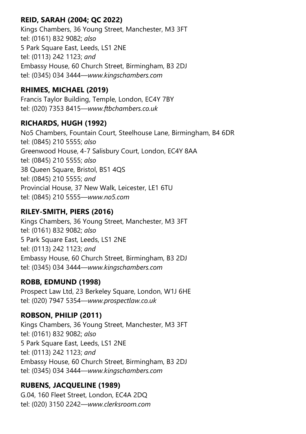# REID, SARAH (2004; QC 2022)

Kings Chambers, 36 Young Street, Manchester, M3 3FT tel: (0161) 832 9082; also 5 Park Square East, Leeds, LS1 2NE tel: (0113) 242 1123; and Embassy House, 60 Church Street, Birmingham, B3 2DJ tel: (0345) 034 3444—www.kingschambers.com

#### RHIMES, MICHAEL (2019)

Francis Taylor Building, Temple, London, EC4Y 7BY tel: (020) 7353 8415—www.ftbchambers.co.uk

#### RICHARDS, HUGH (1992)

No5 Chambers, Fountain Court, Steelhouse Lane, Birmingham, B4 6DR tel: (0845) 210 5555; also Greenwood House, 4-7 Salisbury Court, London, EC4Y 8AA tel: (0845) 210 5555; also 38 Queen Square, Bristol, BS1 4QS tel: (0845) 210 5555; and Provincial House, 37 New Walk, Leicester, LE1 6TU tel: (0845) 210 5555—www.no5.com

# RILEY-SMITH, PIERS (2016)

Kings Chambers, 36 Young Street, Manchester, M3 3FT tel: (0161) 832 9082; also 5 Park Square East, Leeds, LS1 2NE tel: (0113) 242 1123; and Embassy House, 60 Church Street, Birmingham, B3 2DJ tel: (0345) 034 3444—www.kingschambers.com

# ROBB, EDMUND (1998)

Prospect Law Ltd, 23 Berkeley Square, London, W1J 6HE tel: (020) 7947 5354—www.prospectlaw.co.uk

# ROBSON, PHILIP (2011)

Kings Chambers, 36 Young Street, Manchester, M3 3FT tel: (0161) 832 9082; also 5 Park Square East, Leeds, LS1 2NE tel: (0113) 242 1123; and Embassy House, 60 Church Street, Birmingham, B3 2DJ tel: (0345) 034 3444—www.kingschambers.com

# RUBENS, JACQUELINE (1989)

G.04, 160 Fleet Street, London, EC4A 2DQ tel: (020) 3150 2242—www.clerksroom.com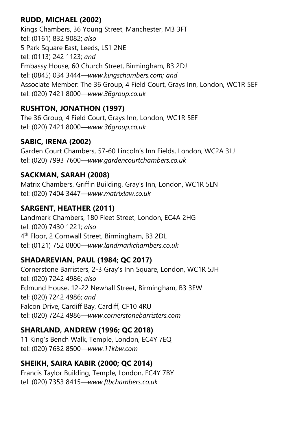# RUDD, MICHAEL (2002)

Kings Chambers, 36 Young Street, Manchester, M3 3FT tel: (0161) 832 9082; also 5 Park Square East, Leeds, LS1 2NE tel: (0113) 242 1123; and Embassy House, 60 Church Street, Birmingham, B3 2DJ tel: (0845) 034 3444—www.kingschambers.com; and Associate Member: The 36 Group, 4 Field Court, Grays Inn, London, WC1R 5EF tel: (020) 7421 8000—www.36group.co.uk

# RUSHTON, JONATHON (1997)

The 36 Group, 4 Field Court, Grays Inn, London, WC1R 5EF tel: (020) 7421 8000—www.36group.co.uk

# SABIC, IRENA (2002)

Garden Court Chambers, 57-60 Lincoln's Inn Fields, London, WC2A 3LJ tel: (020) 7993 7600—www.gardencourtchambers.co.uk

# SACKMAN, SARAH (2008)

Matrix Chambers, Griffin Building, Gray's Inn, London, WC1R 5LN tel: (020) 7404 3447—www.matrixlaw.co.uk

# SARGENT, HEATHER (2011)

Landmark Chambers, 180 Fleet Street, London, EC4A 2HG tel: (020) 7430 1221; also 4 th Floor, 2 Cornwall Street, Birmingham, B3 2DL tel: (0121) 752 0800—www.landmarkchambers.co.uk

# SHADAREVIAN, PAUL (1984; QC 2017)

Cornerstone Barristers, 2-3 Gray's Inn Square, London, WC1R 5JH tel: (020) 7242 4986; also Edmund House, 12-22 Newhall Street, Birmingham, B3 3EW tel: (020) 7242 4986; and Falcon Drive, Cardiff Bay, Cardiff, CF10 4RU tel: (020) 7242 4986—www.cornerstonebarristers.com

# SHARLAND, ANDREW (1996; QC 2018)

11 King's Bench Walk, Temple, London, EC4Y 7EQ tel: (020) 7632 8500—www.11kbw.com

# SHEIKH, SAIRA KABIR (2000; QC 2014)

Francis Taylor Building, Temple, London, EC4Y 7BY tel: (020) 7353 8415—www.ftbchambers.co.uk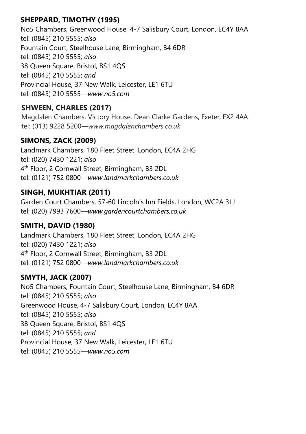# SHEPPARD, TIMOTHY (1995)

No5 Chambers, Greenwood House, 4-7 Salisbury Court, London, EC4Y 8AA tel: (0845) 210 5555; also Fountain Court, Steelhouse Lane, Birmingham, B4 6DR tel: (0845) 210 5555; also 38 Queen Square, Bristol, BS1 4QS tel: (0845) 210 5555; and Provincial House, 37 New Walk, Leicester, LE1 6TU tel: (0845) 210 5555—www.no5.com

# SHWEEN, CHARLES (2017)

Magdalen Chambers, Victory House, Dean Clarke Gardens, Exeter, EX2 4AA tel: (013) 9228 5200—www.magdalenchambers.co.uk

# SIMONS, ZACK (2009)

Landmark Chambers, 180 Fleet Street, London, EC4A 2HG tel: (020) 7430 1221; also 4 th Floor, 2 Cornwall Street, Birmingham, B3 2DL tel: (0121) 752 0800—www.landmarkchambers.co.uk

#### SINGH, MUKHTIAR (2011)

Garden Court Chambers, 57-60 Lincoln's Inn Fields, London, WC2A 3LJ tel: (020) 7993 7600—www.gardencourtchambers.co.uk

#### SMITH, DAVID (1980)

Landmark Chambers, 180 Fleet Street, London, EC4A 2HG tel: (020) 7430 1221; also 4 th Floor, 2 Cornwall Street, Birmingham, B3 2DL tel: (0121) 752 0800—www.landmarkchambers.co.uk

# SMYTH, JACK (2007)

No5 Chambers, Fountain Court, Steelhouse Lane, Birmingham, B4 6DR tel: (0845) 210 5555; also Greenwood House, 4-7 Salisbury Court, London, EC4Y 8AA tel: (0845) 210 5555; also 38 Queen Square, Bristol, BS1 4QS tel: (0845) 210 5555; and Provincial House, 37 New Walk, Leicester, LE1 6TU tel: (0845) 210 5555—www.no5.com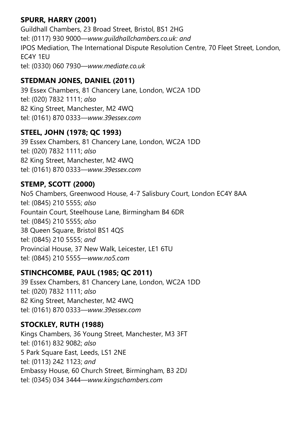# SPURR, HARRY (2001)

Guildhall Chambers, 23 Broad Street, Bristol, BS1 2HG tel: (0117) 930 9000—www.guildhallchambers.co.uk: and IPOS Mediation, The International Dispute Resolution Centre, 70 Fleet Street, London, EC4Y 1EU tel: (0330) 060 7930—www.mediate.co.uk

# STEDMAN JONES, DANIEL (2011)

39 Essex Chambers, 81 Chancery Lane, London, WC2A 1DD tel: (020) 7832 1111; also 82 King Street, Manchester, M2 4WQ tel: (0161) 870 0333—www.39essex.com

#### STEEL, JOHN (1978; QC 1993)

39 Essex Chambers, 81 Chancery Lane, London, WC2A 1DD tel: (020) 7832 1111; also 82 King Street, Manchester, M2 4WQ tel: (0161) 870 0333—www.39essex.com

# STEMP, SCOTT (2000)

No5 Chambers, Greenwood House, 4-7 Salisbury Court, London EC4Y 8AA tel: (0845) 210 5555; also Fountain Court, Steelhouse Lane, Birmingham B4 6DR tel: (0845) 210 5555; also 38 Queen Square, Bristol BS1 4QS tel: (0845) 210 5555; and Provincial House, 37 New Walk, Leicester, LE1 6TU tel: (0845) 210 5555—www.no5.com

#### STINCHCOMBE, PAUL (1985; QC 2011)

39 Essex Chambers, 81 Chancery Lane, London, WC2A 1DD tel: (020) 7832 1111; also 82 King Street, Manchester, M2 4WQ tel: (0161) 870 0333—www.39essex.com

# STOCKLEY, RUTH (1988)

Kings Chambers, 36 Young Street, Manchester, M3 3FT tel: (0161) 832 9082; also 5 Park Square East, Leeds, LS1 2NE tel: (0113) 242 1123; and Embassy House, 60 Church Street, Birmingham, B3 2DJ tel: (0345) 034 3444—www.kingschambers.com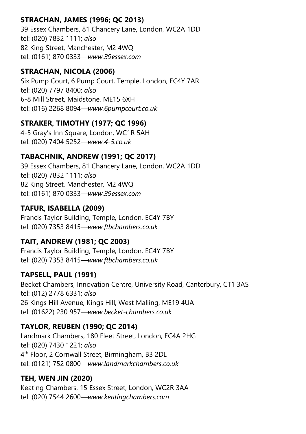# STRACHAN, JAMES (1996; QC 2013)

39 Essex Chambers, 81 Chancery Lane, London, WC2A 1DD tel: (020) 7832 1111; also 82 King Street, Manchester, M2 4WQ tel: (0161) 870 0333—www.39essex.com

#### STRACHAN, NICOLA (2006)

Six Pump Court, 6 Pump Court, Temple, London, EC4Y 7AR tel: (020) 7797 8400; also 6-8 Mill Street, Maidstone, ME15 6XH tel: (016) 2268 8094—www.6pumpcourt.co.uk

# STRAKER, TIMOTHY (1977; QC 1996)

4-5 Gray's Inn Square, London, WC1R 5AH tel: (020) 7404 5252—www.4-5.co.uk

# TABACHNIK, ANDREW (1991; QC 2017)

39 Essex Chambers, 81 Chancery Lane, London, WC2A 1DD tel: (020) 7832 1111; also 82 King Street, Manchester, M2 4WQ tel: (0161) 870 0333—www.39essex.com

#### TAFUR, ISABELLA (2009)

Francis Taylor Building, Temple, London, EC4Y 7BY tel: (020) 7353 8415—www.ftbchambers.co.uk

# TAIT, ANDREW (1981; QC 2003)

Francis Taylor Building, Temple, London, EC4Y 7BY tel: (020) 7353 8415—www.ftbchambers.co.uk

# TAPSELL, PAUL (1991)

Becket Chambers, Innovation Centre, University Road, Canterbury, CT1 3AS tel: (012) 2778 6331; also 26 Kings Hill Avenue, Kings Hill, West Malling, ME19 4UA tel: (01622) 230 957—www.becket-chambers.co.uk

# TAYLOR, REUBEN (1990; QC 2014)

Landmark Chambers, 180 Fleet Street, London, EC4A 2HG tel: (020) 7430 1221; also 4 th Floor, 2 Cornwall Street, Birmingham, B3 2DL tel: (0121) 752 0800—www.landmarkchambers.co.uk

# TEH, WEN JIN (2020)

Keating Chambers, 15 Essex Street, London, WC2R 3AA tel: (020) 7544 2600—www.keatingchambers.com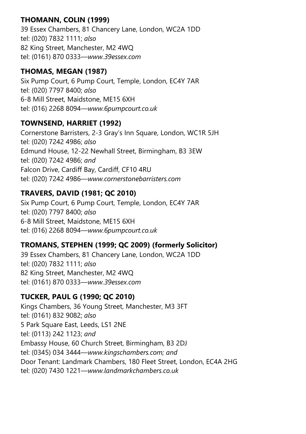# THOMANN, COLIN (1999)

39 Essex Chambers, 81 Chancery Lane, London, WC2A 1DD tel: (020) 7832 1111; also 82 King Street, Manchester, M2 4WQ tel: (0161) 870 0333—www.39essex.com

#### THOMAS, MEGAN (1987)

Six Pump Court, 6 Pump Court, Temple, London, EC4Y 7AR tel: (020) 7797 8400; also 6-8 Mill Street, Maidstone, ME15 6XH tel: (016) 2268 8094—www.6pumpcourt.co.uk

#### TOWNSEND, HARRIET (1992)

Cornerstone Barristers, 2-3 Gray's Inn Square, London, WC1R 5JH tel: (020) 7242 4986; also Edmund House, 12-22 Newhall Street, Birmingham, B3 3EW tel: (020) 7242 4986; and Falcon Drive, Cardiff Bay, Cardiff, CF10 4RU tel: (020) 7242 4986—www.cornerstonebarristers.com

# TRAVERS, DAVID (1981; QC 2010)

Six Pump Court, 6 Pump Court, Temple, London, EC4Y 7AR tel: (020) 7797 8400; also 6-8 Mill Street, Maidstone, ME15 6XH tel: (016) 2268 8094—www.6pumpcourt.co.uk

# TROMANS, STEPHEN (1999; QC 2009) (formerly Solicitor)

39 Essex Chambers, 81 Chancery Lane, London, WC2A 1DD tel: (020) 7832 1111; also 82 King Street, Manchester, M2 4WQ tel: (0161) 870 0333—www.39essex.com

# TUCKER, PAUL G (1990; QC 2010)

Kings Chambers, 36 Young Street, Manchester, M3 3FT tel: (0161) 832 9082; also 5 Park Square East, Leeds, LS1 2NE tel: (0113) 242 1123; and Embassy House, 60 Church Street, Birmingham, B3 2DJ tel: (0345) 034 3444—www.kingschambers.com; and Door Tenant: Landmark Chambers, 180 Fleet Street, London, EC4A 2HG tel: (020) 7430 1221—www.landmarkchambers.co.uk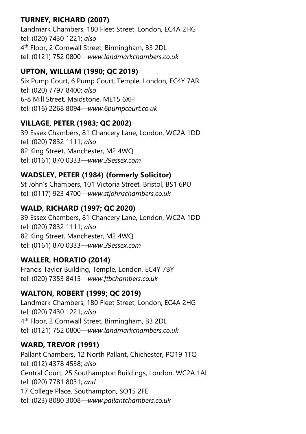# TURNEY, RICHARD (2007)

Landmark Chambers, 180 Fleet Street, London, EC4A 2HG tel: (020) 7430 1221; also 4 th Floor, 2 Cornwall Street, Birmingham, B3 2DL tel: (0121) 752 0800—www.landmarkchambers.co.uk

#### UPTON, WILLIAM (1990; QC 2019)

Six Pump Court, 6 Pump Court, Temple, London, EC4Y 7AR tel: (020) 7797 8400; also 6-8 Mill Street, Maidstone, ME15 6XH tel: (016) 2268 8094—www.6pumpcourt.co.uk

#### VILLAGE, PETER (1983; QC 2002)

39 Essex Chambers, 81 Chancery Lane, London, WC2A 1DD tel: (020) 7832 1111; also 82 King Street, Manchester, M2 4WQ tel: (0161) 870 0333—www.39essex.com

# WADSLEY, PETER (1984) (formerly Solicitor)

St John's Chambers, 101 Victoria Street, Bristol, BS1 6PU tel: (0117) 923 4700—www.stjohnschambers.co.uk

# WALD, RICHARD (1997; QC 2020)

39 Essex Chambers, 81 Chancery Lane, London, WC2A 1DD tel: (020) 7832 1111; also 82 King Street, Manchester, M2 4WQ tel: (0161) 870 0333—www.39essex.com

# WALLER, HORATIO (2014)

Francis Taylor Building, Temple, London, EC4Y 7BY tel: (020) 7353 8415—www.ftbchambers.co.uk

#### WALTON, ROBERT (1999; QC 2019)

Landmark Chambers, 180 Fleet Street, London, EC4A 2HG tel: (020) 7430 1221; also 4 th Floor, 2 Cornwall Street, Birmingham, B3 2DL tel: (0121) 752 0800—www.landmarkchambers.co.uk

#### WARD, TREVOR (1991)

Pallant Chambers, 12 North Pallant, Chichester, PO19 1TQ tel: (012) 4378 4538; also Central Court, 25 Southampton Buildings, London, WC2A 1AL tel: (020) 7781 8031; and 17 College Place, Southampton, SO15 2FE tel: (023) 8080 3008—www.pallantchambers.co.uk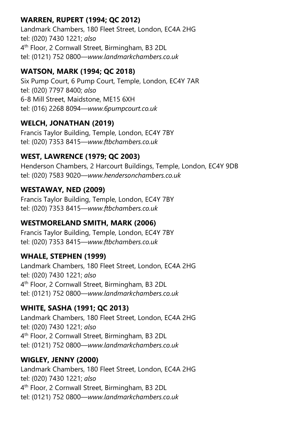# WARREN, RUPERT (1994; QC 2012)

Landmark Chambers, 180 Fleet Street, London, EC4A 2HG tel: (020) 7430 1221; also 4 th Floor, 2 Cornwall Street, Birmingham, B3 2DL tel: (0121) 752 0800—www.landmarkchambers.co.uk

# WATSON, MARK (1994; QC 2018)

Six Pump Court, 6 Pump Court, Temple, London, EC4Y 7AR tel: (020) 7797 8400; also 6-8 Mill Street, Maidstone, ME15 6XH tel: (016) 2268 8094—www.6pumpcourt.co.uk

# WELCH, JONATHAN (2019)

Francis Taylor Building, Temple, London, EC4Y 7BY tel: (020) 7353 8415—www.ftbchambers.co.uk

# WEST, LAWRENCE (1979; QC 2003)

Henderson Chambers, 2 Harcourt Buildings, Temple, London, EC4Y 9DB tel: (020) 7583 9020—www.hendersonchambers.co.uk

# WESTAWAY, NED (2009)

Francis Taylor Building, Temple, London, EC4Y 7BY tel: (020) 7353 8415—www.ftbchambers.co.uk

# WESTMORELAND SMITH, MARK (2006)

Francis Taylor Building, Temple, London, EC4Y 7BY tel: (020) 7353 8415—www.ftbchambers.co.uk

# WHALE, STEPHEN (1999)

Landmark Chambers, 180 Fleet Street, London, EC4A 2HG tel: (020) 7430 1221; also 4 th Floor, 2 Cornwall Street, Birmingham, B3 2DL tel: (0121) 752 0800—www.landmarkchambers.co.uk

# WHITE, SASHA (1991; QC 2013)

Landmark Chambers, 180 Fleet Street, London, EC4A 2HG tel: (020) 7430 1221; also 4 th Floor, 2 Cornwall Street, Birmingham, B3 2DL tel: (0121) 752 0800—www.landmarkchambers.co.uk

# WIGLEY, JENNY (2000)

Landmark Chambers, 180 Fleet Street, London, EC4A 2HG tel: (020) 7430 1221; also 4 th Floor, 2 Cornwall Street, Birmingham, B3 2DL tel: (0121) 752 0800—www.landmarkchambers.co.uk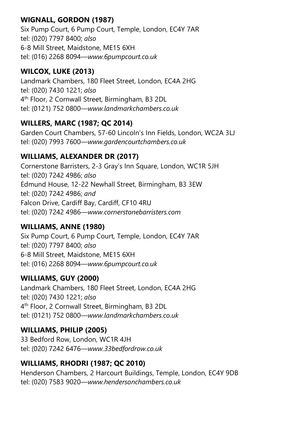# WIGNALL, GORDON (1987)

Six Pump Court, 6 Pump Court, Temple, London, EC4Y 7AR tel: (020) 7797 8400; also 6-8 Mill Street, Maidstone, ME15 6XH tel: (016) 2268 8094—www.6pumpcourt.co.uk

# WILCOX, LUKE (2013)

Landmark Chambers, 180 Fleet Street, London, EC4A 2HG tel: (020) 7430 1221; also 4 th Floor, 2 Cornwall Street, Birmingham, B3 2DL tel: (0121) 752 0800—www.landmarkchambers.co.uk

# WILLERS, MARC (1987; QC 2014)

Garden Court Chambers, 57-60 Lincoln's Inn Fields, London, WC2A 3LJ tel: (020) 7993 7600—www.gardencourtchambers.co.uk

# WILLIAMS, ALEXANDER DR (2017)

Cornerstone Barristers, 2-3 Gray's Inn Square, London, WC1R 5JH tel: (020) 7242 4986; also Edmund House, 12-22 Newhall Street, Birmingham, B3 3EW tel: (020) 7242 4986; and Falcon Drive, Cardiff Bay, Cardiff, CF10 4RU tel: (020) 7242 4986—www.cornerstonebarristers.com

#### WILLIAMS, ANNE (1980)

Six Pump Court, 6 Pump Court, Temple, London, EC4Y 7AR tel: (020) 7797 8400; also 6-8 Mill Street, Maidstone, ME15 6XH tel: (016) 2268 8094—www.6pumpcourt.co.uk

# WILLIAMS, GUY (2000)

Landmark Chambers, 180 Fleet Street, London, EC4A 2HG tel: (020) 7430 1221; also 4 th Floor, 2 Cornwall Street, Birmingham, B3 2DL tel: (0121) 752 0800—www.landmarkchambers.co.uk

# WILLIAMS, PHILIP (2005)

33 Bedford Row, London, WC1R 4JH tel: (020) 7242 6476—www.33bedfordrow.co.uk

# WILLIAMS, RHODRI (1987; QC 2010)

Henderson Chambers, 2 Harcourt Buildings, Temple, London, EC4Y 9DB tel: (020) 7583 9020—www.hendersonchambers.co.uk